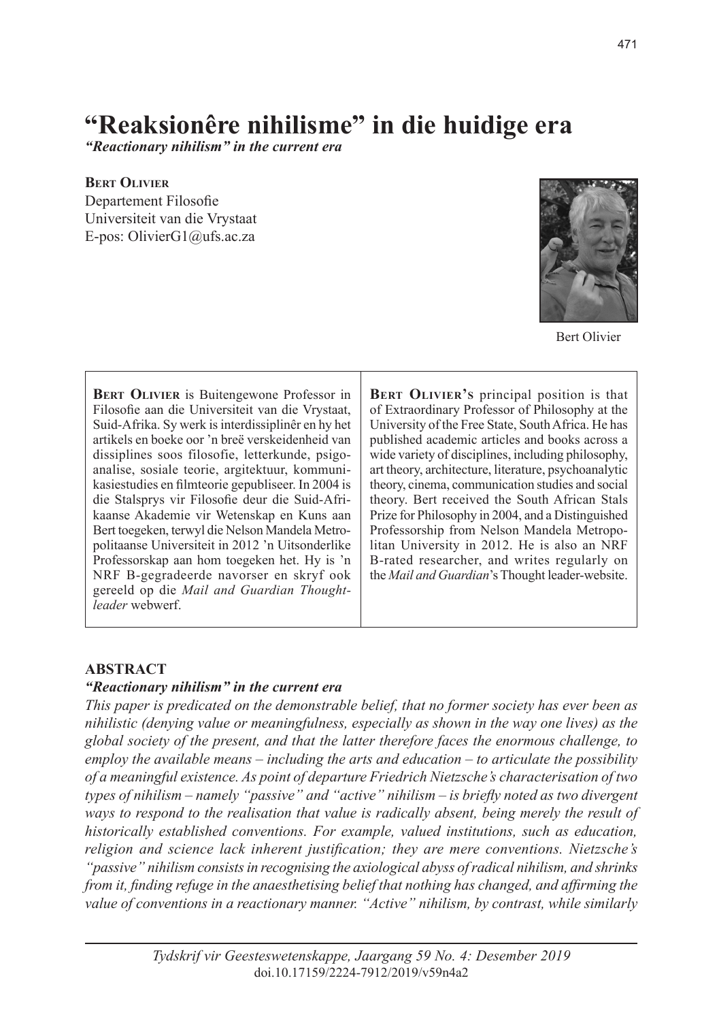# **"Reaksionêre nihilisme" in die huidige era**

*"Reactionary nihilism" in the current era*

# **Bert Olivier**

Departement Filosofie Universiteit van die Vrystaat E-pos: OlivierG1@ufs.ac.za



Bert Olivier

**BERT OLIVIER** is Buitengewone Professor in Filosofie aan die Universiteit van die Vrystaat, Suid-Afrika. Sy werk is interdissiplinêr en hy het artikels en boeke oor 'n breë verskeidenheid van dissiplines soos filosofie, letterkunde, psigoanalise, sosiale teorie, argitektuur, kommunikasiestudies en filmteorie gepubliseer. In 2004 is die Stalsprys vir Filosofie deur die Suid-Afrikaanse Akademie vir Wetenskap en Kuns aan Bert toegeken, terwyl die Nelson Mandela Metropolitaanse Universiteit in 2012 'n Uitsonderlike Professorskap aan hom toegeken het. Hy is 'n NRF B-gegradeerde navorser en skryf ook gereeld op die *Mail and Guardian Thoughtleader* webwerf.

**BERT OLIVIER'S** principal position is that of Extraordinary Professor of Philosophy at the University of the Free State, South Africa. He has published academic articles and books across a wide variety of disciplines, including philosophy, art theory, architecture, literature, psychoanalytic theory, cinema, communication studies and social theory. Bert received the South African Stals Prize for Philosophy in 2004, and a Distinguished Professorship from Nelson Mandela Metropolitan University in 2012. He is also an NRF B-rated researcher, and writes regularly on the *Mail and Guardian*'s Thought leader-website.

#### **ABSTRACT**

#### *"Reactionary nihilism" in the current era*

*This paper is predicated on the demonstrable belief, that no former society has ever been as nihilistic (denying value or meaningfulness, especially as shown in the way one lives) as the global society of the present, and that the latter therefore faces the enormous challenge, to employ the available means – including the arts and education – to articulate the possibility of a meaningful existence. As point of departure Friedrich Nietzsche's characterisation of two types of nihilism – namely "passive" and "active" nihilism – is briefly noted as two divergent ways to respond to the realisation that value is radically absent, being merely the result of historically established conventions. For example, valued institutions, such as education, religion and science lack inherent justification; they are mere conventions. Nietzsche's "passive" nihilism consists in recognising the axiological abyss of radical nihilism, and shrinks from it, finding refuge in the anaesthetising belief that nothing has changed, and affirming the value of conventions in a reactionary manner. "Active" nihilism, by contrast, while similarly*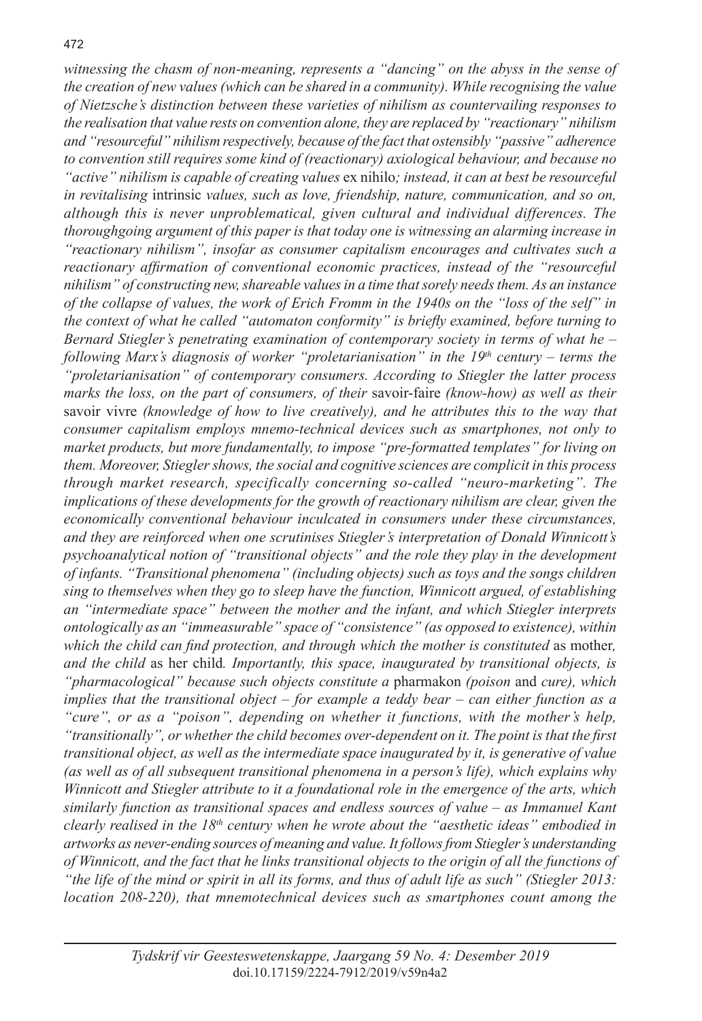*witnessing the chasm of non-meaning, represents a "dancing" on the abyss in the sense of the creation of new values (which can be shared in a community). While recognising the value of Nietzsche's distinction between these varieties of nihilism as countervailing responses to the realisation that value rests on convention alone, they are replaced by "reactionary" nihilism and "resourceful" nihilism respectively, because of the fact that ostensibly "passive" adherence to convention still requires some kind of (reactionary) axiological behaviour, and because no "active" nihilism is capable of creating values* ex nihilo*; instead, it can at best be resourceful in revitalising* intrinsic *values, such as love, friendship, nature, communication, and so on, although this is never unproblematical, given cultural and individual differences. The thoroughgoing argument of this paper is that today one is witnessing an alarming increase in "reactionary nihilism", insofar as consumer capitalism encourages and cultivates such a reactionary affirmation of conventional economic practices, instead of the "resourceful nihilism" of constructing new, shareable values in a time that sorely needs them. As an instance of the collapse of values, the work of Erich Fromm in the 1940s on the "loss of the self" in the context of what he called "automaton conformity" is briefly examined, before turning to Bernard Stiegler's penetrating examination of contemporary society in terms of what he – following Marx's diagnosis of worker "proletarianisation" in the 19<sup>th</sup> century – terms the "proletarianisation" of contemporary consumers. According to Stiegler the latter process marks the loss, on the part of consumers, of their* savoir-faire *(know-how) as well as their*  savoir vivre *(knowledge of how to live creatively), and he attributes this to the way that consumer capitalism employs mnemo-technical devices such as smartphones, not only to market products, but more fundamentally, to impose "pre-formatted templates" for living on them. Moreover, Stiegler shows, the social and cognitive sciences are complicit in this process through market research, specifically concerning so-called "neuro-marketing". The implications of these developments for the growth of reactionary nihilism are clear, given the economically conventional behaviour inculcated in consumers under these circumstances, and they are reinforced when one scrutinises Stiegler's interpretation of Donald Winnicott's psychoanalytical notion of "transitional objects" and the role they play in the development of infants. "Transitional phenomena" (including objects) such as toys and the songs children sing to themselves when they go to sleep have the function, Winnicott argued, of establishing an "intermediate space" between the mother and the infant, and which Stiegler interprets ontologically as an "immeasurable" space of "consistence" (as opposed to existence), within*  which the child can find protection, and through which the mother is constituted as mother, *and the child* as her child*. Importantly, this space, inaugurated by transitional objects, is "pharmacological" because such objects constitute a* pharmakon *(poison* and *cure), which implies that the transitional object – for example a teddy bear – can either function as a "cure", or as a "poison", depending on whether it functions, with the mother's help, "transitionally", or whether the child becomes over-dependent on it. The point is that the first transitional object, as well as the intermediate space inaugurated by it, is generative of value (as well as of all subsequent transitional phenomena in a person's life), which explains why Winnicott and Stiegler attribute to it a foundational role in the emergence of the arts, which similarly function as transitional spaces and endless sources of value – as Immanuel Kant clearly realised in the 18th century when he wrote about the "aesthetic ideas" embodied in artworks as never-ending sources of meaning and value. It follows from Stiegler's understanding of Winnicott, and the fact that he links transitional objects to the origin of all the functions of "the life of the mind or spirit in all its forms, and thus of adult life as such" (Stiegler 2013: location 208-220), that mnemotechnical devices such as smartphones count among the*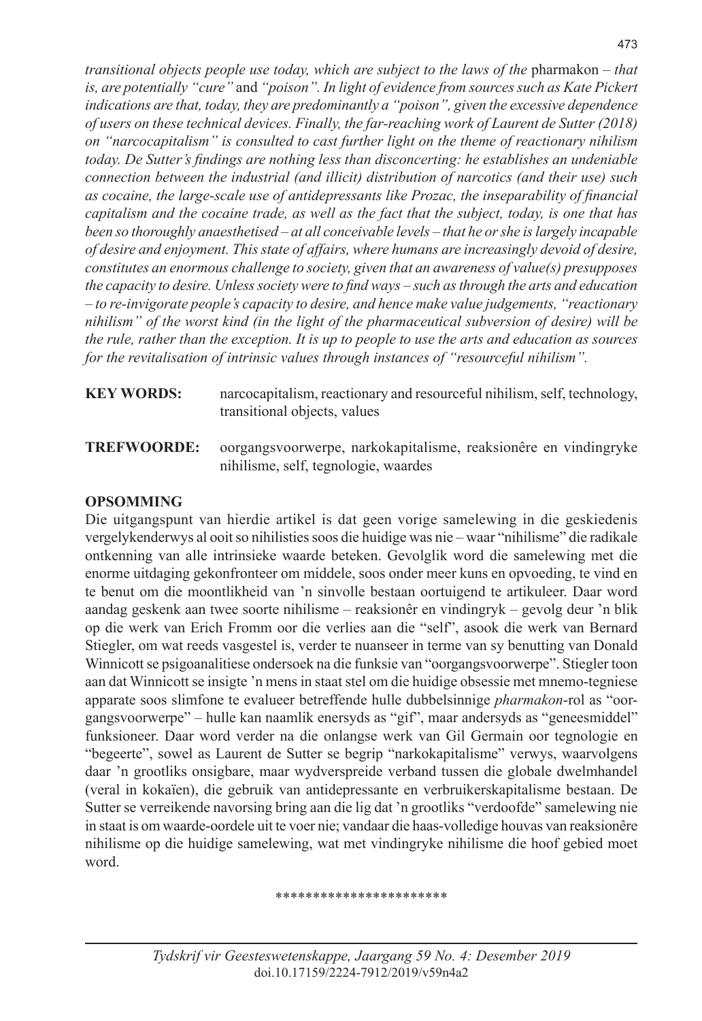*transitional objects people use today, which are subject to the laws of the* pharmakon *– that is, are potentially "cure"* and *"poison". In light of evidence from sources such as Kate Pickert indications are that, today, they are predominantly a "poison", given the excessive dependence of users on these technical devices. Finally, the far-reaching work of Laurent de Sutter (2018) on "narcocapitalism" is consulted to cast further light on the theme of reactionary nihilism today. De Sutter's findings are nothing less than disconcerting: he establishes an undeniable connection between the industrial (and illicit) distribution of narcotics (and their use) such as cocaine, the large-scale use of antidepressants like Prozac, the inseparability of financial capitalism and the cocaine trade, as well as the fact that the subject, today, is one that has been so thoroughly anaesthetised – at all conceivable levels – that he or she is largely incapable of desire and enjoyment. This state of affairs, where humans are increasingly devoid of desire, constitutes an enormous challenge to society, given that an awareness of value(s) presupposes the capacity to desire. Unless society were to find ways – such as through the arts and education – to re-invigorate people's capacity to desire, and hence make value judgements, "reactionary nihilism" of the worst kind (in the light of the pharmaceutical subversion of desire) will be the rule, rather than the exception. It is up to people to use the arts and education as sources for the revitalisation of intrinsic values through instances of "resourceful nihilism".* 

**KEY WORDS:** narcocapitalism, reactionary and resourceful nihilism, self, technology, transitional objects, values

**TREFWOORDE:** oorgangsvoorwerpe, narkokapitalisme, reaksionêre en vindingryke nihilisme, self, tegnologie, waardes

### **OPSOMMING**

Die uitgangspunt van hierdie artikel is dat geen vorige samelewing in die geskiedenis vergelykenderwys al ooit so nihilisties soos die huidige was nie – waar "nihilisme" die radikale ontkenning van alle intrinsieke waarde beteken. Gevolglik word die samelewing met die enorme uitdaging gekonfronteer om middele, soos onder meer kuns en opvoeding, te vind en te benut om die moontlikheid van 'n sinvolle bestaan oortuigend te artikuleer. Daar word aandag geskenk aan twee soorte nihilisme – reaksionêr en vindingryk – gevolg deur 'n blik op die werk van Erich Fromm oor die verlies aan die "self", asook die werk van Bernard Stiegler, om wat reeds vasgestel is, verder te nuanseer in terme van sy benutting van Donald Winnicott se psigoanalitiese ondersoek na die funksie van "oorgangsvoorwerpe". Stiegler toon aan dat Winnicott se insigte 'n mens in staat stel om die huidige obsessie met mnemo-tegniese apparate soos slimfone te evalueer betreffende hulle dubbelsinnige *pharmakon*-rol as "oorgangsvoorwerpe" – hulle kan naamlik enersyds as "gif", maar andersyds as "geneesmiddel" funksioneer. Daar word verder na die onlangse werk van Gil Germain oor tegnologie en "begeerte", sowel as Laurent de Sutter se begrip "narkokapitalisme" verwys, waarvolgens daar 'n grootliks onsigbare, maar wydverspreide verband tussen die globale dwelmhandel (veral in kokaïen), die gebruik van antidepressante en verbruikerskapitalisme bestaan. De Sutter se verreikende navorsing bring aan die lig dat 'n grootliks "verdoofde" samelewing nie in staat is om waarde-oordele uit te voer nie; vandaar die haas-volledige houvas van reaksionêre nihilisme op die huidige samelewing, wat met vindingryke nihilisme die hoof gebied moet word.

\*\*\*\*\*\*\*\*\*\*\*\*\*\*\*\*\*\*\*\*\*\*\*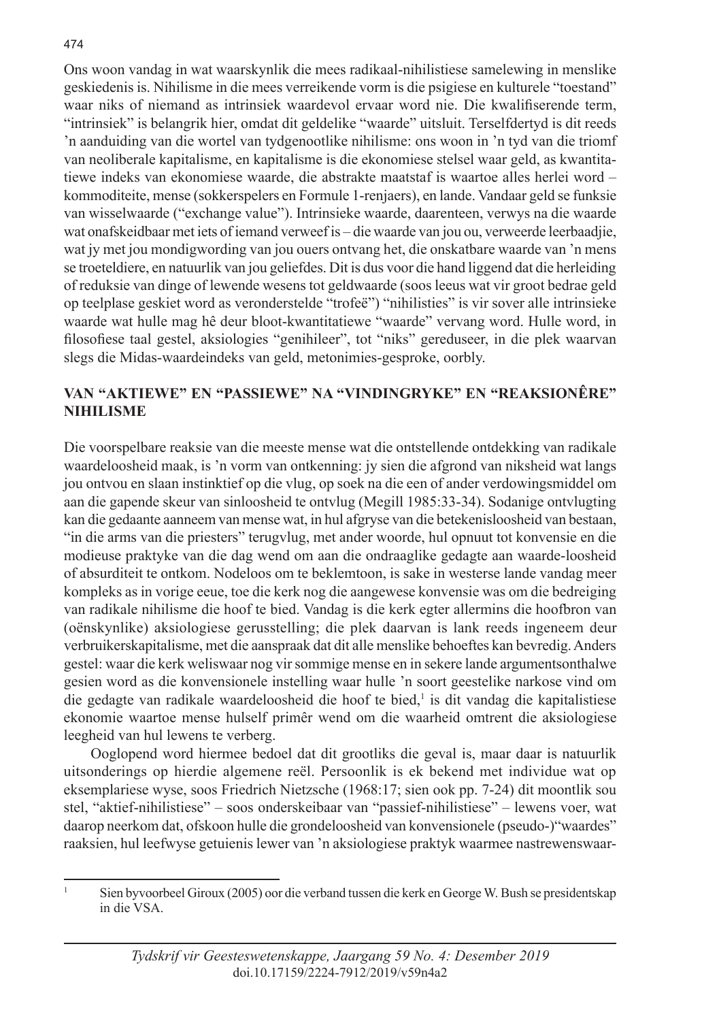Ons woon vandag in wat waarskynlik die mees radikaal-nihilistiese samelewing in menslike geskiedenis is. Nihilisme in die mees verreikende vorm is die psigiese en kulturele "toestand" waar niks of niemand as intrinsiek waardevol ervaar word nie. Die kwalifiserende term, "intrinsiek" is belangrik hier, omdat dit geldelike "waarde" uitsluit. Terselfdertyd is dit reeds 'n aanduiding van die wortel van tydgenootlike nihilisme: ons woon in 'n tyd van die triomf van neoliberale kapitalisme, en kapitalisme is die ekonomiese stelsel waar geld, as kwantitatiewe indeks van ekonomiese waarde, die abstrakte maatstaf is waartoe alles herlei word – kommoditeite, mense (sokkerspelers en Formule 1-renjaers), en lande. Vandaar geld se funksie van wisselwaarde ("exchange value"). Intrinsieke waarde, daarenteen, verwys na die waarde wat onafskeidbaar met iets of iemand verweef is – die waarde van jou ou, verweerde leerbaadjie, wat jy met jou mondigwording van jou ouers ontvang het, die onskatbare waarde van 'n mens se troeteldiere, en natuurlik van jou geliefdes. Dit is dus voor die hand liggend dat die herleiding of reduksie van dinge of lewende wesens tot geldwaarde (soos leeus wat vir groot bedrae geld op teelplase geskiet word as veronderstelde "trofeë") "nihilisties" is vir sover alle intrinsieke waarde wat hulle mag hê deur bloot-kwantitatiewe "waarde" vervang word. Hulle word, in filosofiese taal gestel, aksiologies "genihileer", tot "niks" gereduseer, in die plek waarvan slegs die Midas-waardeindeks van geld, metonimies-gesproke, oorbly.

## **VAN "AKTIEWE" EN "PASSIEWE" NA "VINDINGRYKE" EN "REAKSIONÊRE" NIHILISME**

Die voorspelbare reaksie van die meeste mense wat die ontstellende ontdekking van radikale waardeloosheid maak, is 'n vorm van ontkenning: jy sien die afgrond van niksheid wat langs jou ontvou en slaan instinktief op die vlug, op soek na die een of ander verdowingsmiddel om aan die gapende skeur van sinloosheid te ontvlug (Megill 1985:33-34). Sodanige ontvlugting kan die gedaante aanneem van mense wat, in hul afgryse van die betekenisloosheid van bestaan, "in die arms van die priesters" terugvlug, met ander woorde, hul opnuut tot konvensie en die modieuse praktyke van die dag wend om aan die ondraaglike gedagte aan waarde-loosheid of absurditeit te ontkom. Nodeloos om te beklemtoon, is sake in westerse lande vandag meer kompleks as in vorige eeue, toe die kerk nog die aangewese konvensie was om die bedreiging van radikale nihilisme die hoof te bied. Vandag is die kerk egter allermins die hoofbron van (oënskynlike) aksiologiese gerusstelling; die plek daarvan is lank reeds ingeneem deur verbruikerskapitalisme, met die aanspraak dat dit alle menslike behoeftes kan bevredig. Anders gestel: waar die kerk weliswaar nog vir sommige mense en in sekere lande argumentsonthalwe gesien word as die konvensionele instelling waar hulle 'n soort geestelike narkose vind om die gedagte van radikale waardeloosheid die hoof te bied,<sup>1</sup> is dit vandag die kapitalistiese ekonomie waartoe mense hulself primêr wend om die waarheid omtrent die aksiologiese leegheid van hul lewens te verberg.

Ooglopend word hiermee bedoel dat dit grootliks die geval is, maar daar is natuurlik uitsonderings op hierdie algemene reël. Persoonlik is ek bekend met individue wat op eksemplariese wyse, soos Friedrich Nietzsche (1968:17; sien ook pp. 7-24) dit moontlik sou stel, "aktief-nihilistiese" – soos onderskeibaar van "passief-nihilistiese" – lewens voer, wat daarop neerkom dat, ofskoon hulle die grondeloosheid van konvensionele (pseudo-)"waardes" raaksien, hul leefwyse getuienis lewer van 'n aksiologiese praktyk waarmee nastrewenswaar-

<sup>&</sup>lt;sup>1</sup> Sien byvoorbeel Giroux (2005) oor die verband tussen die kerk en George W. Bush se presidentskap in die VSA.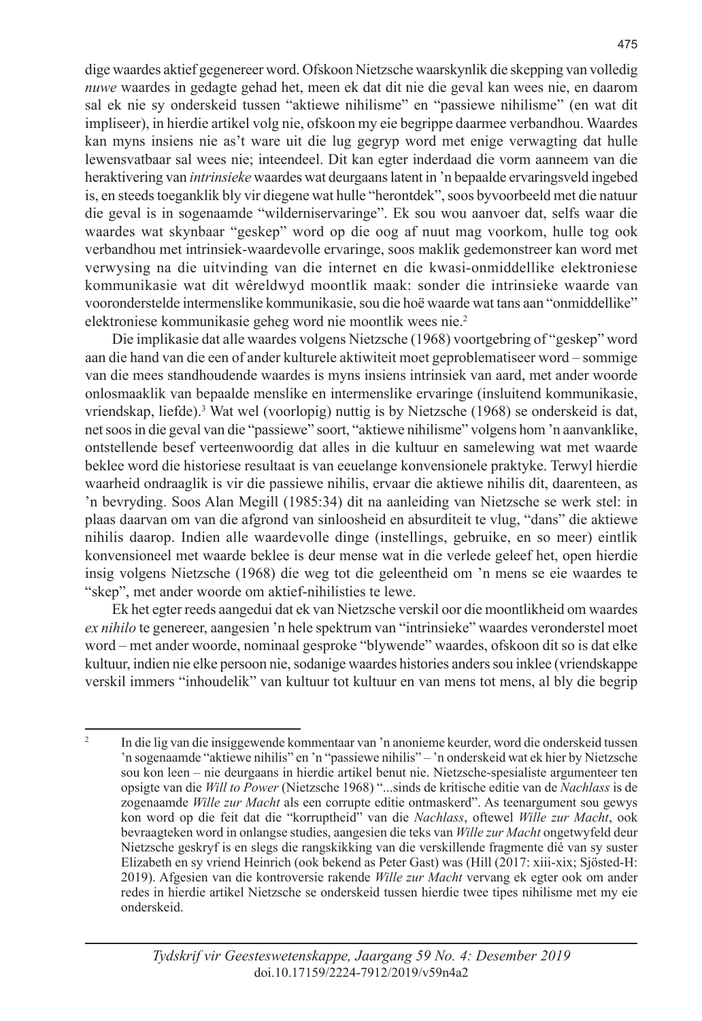dige waardes aktief gegenereer word. Ofskoon Nietzsche waarskynlik die skepping van volledig *nuwe* waardes in gedagte gehad het, meen ek dat dit nie die geval kan wees nie, en daarom sal ek nie sy onderskeid tussen "aktiewe nihilisme" en "passiewe nihilisme" (en wat dit impliseer), in hierdie artikel volg nie, ofskoon my eie begrippe daarmee verbandhou. Waardes kan myns insiens nie as't ware uit die lug gegryp word met enige verwagting dat hulle lewensvatbaar sal wees nie; inteendeel. Dit kan egter inderdaad die vorm aanneem van die heraktivering van *intrinsieke* waardes wat deurgaans latent in 'n bepaalde ervaringsveld ingebed is, en steeds toeganklik bly vir diegene wat hulle "herontdek", soos byvoorbeeld met die natuur die geval is in sogenaamde "wilderniservaringe". Ek sou wou aanvoer dat, selfs waar die waardes wat skynbaar "geskep" word op die oog af nuut mag voorkom, hulle tog ook verbandhou met intrinsiek-waardevolle ervaringe, soos maklik gedemonstreer kan word met verwysing na die uitvinding van die internet en die kwasi-onmiddellike elektroniese kommunikasie wat dit wêreldwyd moontlik maak: sonder die intrinsieke waarde van vooronderstelde intermenslike kommunikasie, sou die hoë waarde wat tans aan "onmiddellike" elektroniese kommunikasie geheg word nie moontlik wees nie.2

Die implikasie dat alle waardes volgens Nietzsche (1968) voortgebring of "geskep" word aan die hand van die een of ander kulturele aktiwiteit moet geproblematiseer word – sommige van die mees standhoudende waardes is myns insiens intrinsiek van aard, met ander woorde onlosmaaklik van bepaalde menslike en intermenslike ervaringe (insluitend kommunikasie, vriendskap, liefde).3 Wat wel (voorlopig) nuttig is by Nietzsche (1968) se onderskeid is dat, net soos in die geval van die "passiewe" soort, "aktiewe nihilisme" volgens hom 'n aanvanklike, ontstellende besef verteenwoordig dat alles in die kultuur en samelewing wat met waarde beklee word die historiese resultaat is van eeuelange konvensionele praktyke. Terwyl hierdie waarheid ondraaglik is vir die passiewe nihilis, ervaar die aktiewe nihilis dit, daarenteen, as 'n bevryding. Soos Alan Megill (1985:34) dit na aanleiding van Nietzsche se werk stel: in plaas daarvan om van die afgrond van sinloosheid en absurditeit te vlug, "dans" die aktiewe nihilis daarop. Indien alle waardevolle dinge (instellings, gebruike, en so meer) eintlik konvensioneel met waarde beklee is deur mense wat in die verlede geleef het, open hierdie insig volgens Nietzsche (1968) die weg tot die geleentheid om 'n mens se eie waardes te "skep", met ander woorde om aktief-nihilisties te lewe.

Ek het egter reeds aangedui dat ek van Nietzsche verskil oor die moontlikheid om waardes *ex nihilo* te genereer, aangesien 'n hele spektrum van "intrinsieke" waardes veronderstel moet word – met ander woorde, nominaal gesproke "blywende" waardes, ofskoon dit so is dat elke kultuur, indien nie elke persoon nie, sodanige waardes histories anders sou inklee (vriendskappe verskil immers "inhoudelik" van kultuur tot kultuur en van mens tot mens, al bly die begrip

<sup>&</sup>lt;sup>2</sup> In die lig van die insiggewende kommentaar van 'n anonieme keurder, word die onderskeid tussen 'n sogenaamde "aktiewe nihilis" en 'n "passiewe nihilis" – 'n onderskeid wat ek hier by Nietzsche sou kon leen – nie deurgaans in hierdie artikel benut nie. Nietzsche-spesialiste argumenteer ten opsigte van die *Will to Power* (Nietzsche 1968) "...sinds de kritische editie van de *Nachlass* is de zogenaamde *Wille zur Macht* als een corrupte editie ontmaskerd". As teenargument sou gewys kon word op die feit dat die "korruptheid" van die *Nachlass*, oftewel *Wille zur Macht*, ook bevraagteken word in onlangse studies, aangesien die teks van *Wille zur Macht* ongetwyfeld deur Nietzsche geskryf is en slegs die rangskikking van die verskillende fragmente dié van sy suster Elizabeth en sy vriend Heinrich (ook bekend as Peter Gast) was (Hill (2017: xiii-xix; Sjösted-H: 2019). Afgesien van die kontroversie rakende *Wille zur Macht* vervang ek egter ook om ander redes in hierdie artikel Nietzsche se onderskeid tussen hierdie twee tipes nihilisme met my eie onderskeid.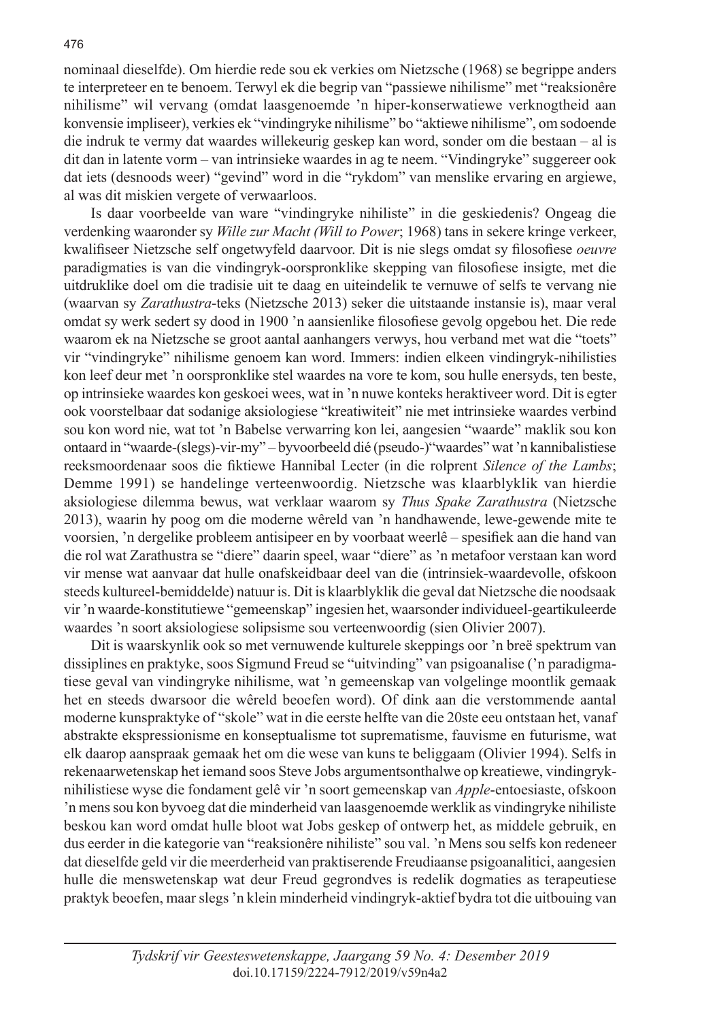nominaal dieselfde). Om hierdie rede sou ek verkies om Nietzsche (1968) se begrippe anders te interpreteer en te benoem. Terwyl ek die begrip van "passiewe nihilisme" met "reaksionêre nihilisme" wil vervang (omdat laasgenoemde 'n hiper-konserwatiewe verknogtheid aan konvensie impliseer), verkies ek "vindingryke nihilisme" bo "aktiewe nihilisme", om sodoende die indruk te vermy dat waardes willekeurig geskep kan word, sonder om die bestaan – al is dit dan in latente vorm – van intrinsieke waardes in ag te neem. "Vindingryke" suggereer ook dat iets (desnoods weer) "gevind" word in die "rykdom" van menslike ervaring en argiewe, al was dit miskien vergete of verwaarloos.

Is daar voorbeelde van ware "vindingryke nihiliste" in die geskiedenis? Ongeag die verdenking waaronder sy *Wille zur Macht (Will to Power*; 1968) tans in sekere kringe verkeer, kwalifiseer Nietzsche self ongetwyfeld daarvoor. Dit is nie slegs omdat sy filosofiese *oeuvre*  paradigmaties is van die vindingryk-oorspronklike skepping van filosofiese insigte, met die uitdruklike doel om die tradisie uit te daag en uiteindelik te vernuwe of selfs te vervang nie (waarvan sy *Zarathustra*-teks (Nietzsche 2013) seker die uitstaande instansie is), maar veral omdat sy werk sedert sy dood in 1900 'n aansienlike filosofiese gevolg opgebou het. Die rede waarom ek na Nietzsche se groot aantal aanhangers verwys, hou verband met wat die "toets" vir "vindingryke" nihilisme genoem kan word. Immers: indien elkeen vindingryk-nihilisties kon leef deur met 'n oorspronklike stel waardes na vore te kom, sou hulle enersyds, ten beste, op intrinsieke waardes kon geskoei wees, wat in 'n nuwe konteks heraktiveer word. Dit is egter ook voorstelbaar dat sodanige aksiologiese "kreatiwiteit" nie met intrinsieke waardes verbind sou kon word nie, wat tot 'n Babelse verwarring kon lei, aangesien "waarde" maklik sou kon ontaard in "waarde-(slegs)-vir-my" – byvoorbeeld dié (pseudo-)"waardes" wat 'n kannibalistiese reeksmoordenaar soos die fiktiewe Hannibal Lecter (in die rolprent *Silence of the Lambs*; Demme 1991) se handelinge verteenwoordig. Nietzsche was klaarblyklik van hierdie aksiologiese dilemma bewus, wat verklaar waarom sy *Thus Spake Zarathustra* (Nietzsche 2013), waarin hy poog om die moderne wêreld van 'n handhawende, lewe-gewende mite te voorsien, 'n dergelike probleem antisipeer en by voorbaat weerlê – spesifiek aan die hand van die rol wat Zarathustra se "diere" daarin speel, waar "diere" as 'n metafoor verstaan kan word vir mense wat aanvaar dat hulle onafskeidbaar deel van die (intrinsiek-waardevolle, ofskoon steeds kultureel-bemiddelde) natuur is. Dit is klaarblyklik die geval dat Nietzsche die noodsaak vir 'n waarde-konstitutiewe "gemeenskap" ingesien het, waarsonder individueel-geartikuleerde waardes 'n soort aksiologiese solipsisme sou verteenwoordig (sien Olivier 2007).

Dit is waarskynlik ook so met vernuwende kulturele skeppings oor 'n breë spektrum van dissiplines en praktyke, soos Sigmund Freud se "uitvinding" van psigoanalise ('n paradigmatiese geval van vindingryke nihilisme, wat 'n gemeenskap van volgelinge moontlik gemaak het en steeds dwarsoor die wêreld beoefen word). Of dink aan die verstommende aantal moderne kunspraktyke of "skole" wat in die eerste helfte van die 20ste eeu ontstaan het, vanaf abstrakte ekspressionisme en konseptualisme tot suprematisme, fauvisme en futurisme, wat elk daarop aanspraak gemaak het om die wese van kuns te beliggaam (Olivier 1994). Selfs in rekenaarwetenskap het iemand soos Steve Jobs argumentsonthalwe op kreatiewe, vindingryknihilistiese wyse die fondament gelê vir 'n soort gemeenskap van *Apple*-entoesiaste, ofskoon 'n mens sou kon byvoeg dat die minderheid van laasgenoemde werklik as vindingryke nihiliste beskou kan word omdat hulle bloot wat Jobs geskep of ontwerp het, as middele gebruik, en dus eerder in die kategorie van "reaksionêre nihiliste" sou val. 'n Mens sou selfs kon redeneer dat dieselfde geld vir die meerderheid van praktiserende Freudiaanse psigoanalitici, aangesien hulle die menswetenskap wat deur Freud gegrondves is redelik dogmaties as terapeutiese praktyk beoefen, maar slegs 'n klein minderheid vindingryk-aktief bydra tot die uitbouing van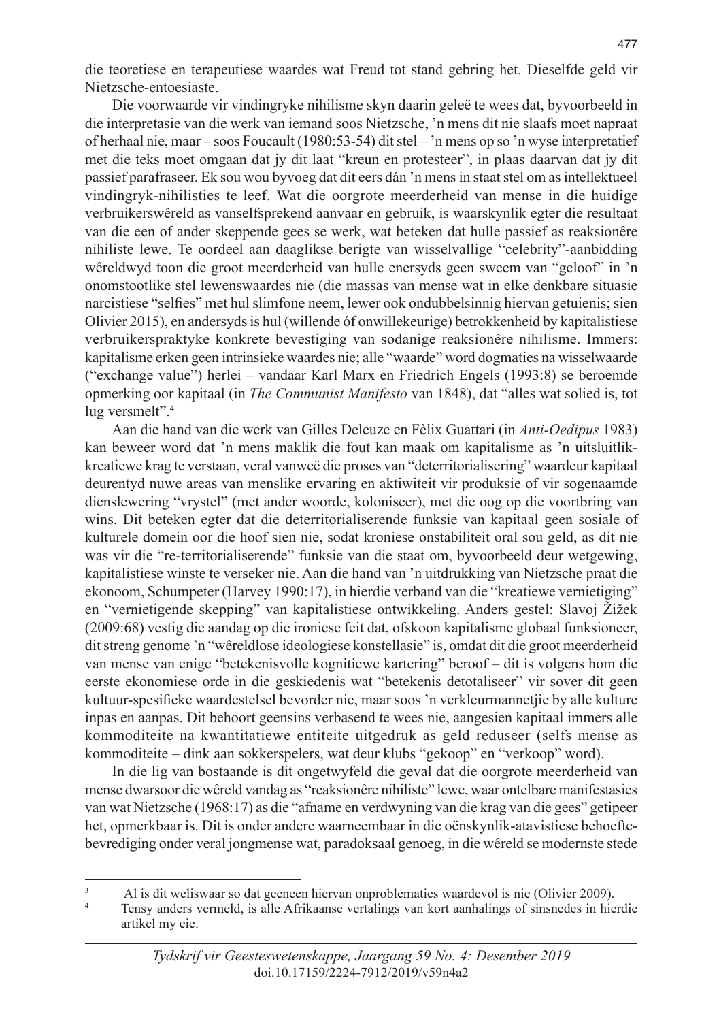die teoretiese en terapeutiese waardes wat Freud tot stand gebring het. Dieselfde geld vir Nietzsche-entoesiaste.

Die voorwaarde vir vindingryke nihilisme skyn daarin geleë te wees dat, byvoorbeeld in die interpretasie van die werk van iemand soos Nietzsche, 'n mens dit nie slaafs moet napraat of herhaal nie, maar – soos Foucault (1980:53-54) dit stel – 'n mens op so 'n wyse interpretatief met die teks moet omgaan dat jy dit laat "kreun en protesteer", in plaas daarvan dat jy dit passief parafraseer. Ek sou wou byvoeg dat dit eers dán 'n mens in staat stel om as intellektueel vindingryk-nihilisties te leef. Wat die oorgrote meerderheid van mense in die huidige verbruikerswêreld as vanselfsprekend aanvaar en gebruik, is waarskynlik egter die resultaat van die een of ander skeppende gees se werk, wat beteken dat hulle passief as reaksionêre nihiliste lewe. Te oordeel aan daaglikse berigte van wisselvallige "celebrity"-aanbidding wêreldwyd toon die groot meerderheid van hulle enersyds geen sweem van "geloof" in 'n onomstootlike stel lewenswaardes nie (die massas van mense wat in elke denkbare situasie narcistiese "selfies" met hul slimfone neem, lewer ook ondubbelsinnig hiervan getuienis; sien Olivier 2015), en andersyds is hul (willende óf onwillekeurige) betrokkenheid by kapitalistiese verbruikerspraktyke konkrete bevestiging van sodanige reaksionêre nihilisme. Immers: kapitalisme erken geen intrinsieke waardes nie; alle "waarde" word dogmaties na wisselwaarde ("exchange value") herlei – vandaar Karl Marx en Friedrich Engels (1993:8) se beroemde opmerking oor kapitaal (in *The Communist Manifesto* van 1848), dat "alles wat solied is, tot lug versmelt".4

Aan die hand van die werk van Gilles Deleuze en Fèlix Guattari (in *Anti-Oedipus* 1983) kan beweer word dat 'n mens maklik die fout kan maak om kapitalisme as 'n uitsluitlikkreatiewe krag te verstaan, veral vanweë die proses van "deterritorialisering" waardeur kapitaal deurentyd nuwe areas van menslike ervaring en aktiwiteit vir produksie of vir sogenaamde dienslewering "vrystel" (met ander woorde, koloniseer), met die oog op die voortbring van wins. Dit beteken egter dat die deterritorialiserende funksie van kapitaal geen sosiale of kulturele domein oor die hoof sien nie, sodat kroniese onstabiliteit oral sou geld, as dit nie was vir die "re-territorialiserende" funksie van die staat om, byvoorbeeld deur wetgewing, kapitalistiese winste te verseker nie. Aan die hand van 'n uitdrukking van Nietzsche praat die ekonoom, Schumpeter (Harvey 1990:17), in hierdie verband van die "kreatiewe vernietiging" en "vernietigende skepping" van kapitalistiese ontwikkeling. Anders gestel: Slavoj Žižek (2009:68) vestig die aandag op die ironiese feit dat, ofskoon kapitalisme globaal funksioneer, dit streng genome 'n "wêreldlose ideologiese konstellasie" is, omdat dit die groot meerderheid van mense van enige "betekenisvolle kognitiewe kartering" beroof – dit is volgens hom die eerste ekonomiese orde in die geskiedenis wat "betekenis detotaliseer" vir sover dit geen kultuur-spesifieke waardestelsel bevorder nie, maar soos 'n verkleurmannetjie by alle kulture inpas en aanpas. Dit behoort geensins verbasend te wees nie, aangesien kapitaal immers alle kommoditeite na kwantitatiewe entiteite uitgedruk as geld reduseer (selfs mense as kommoditeite – dink aan sokkerspelers, wat deur klubs "gekoop" en "verkoop" word).

In die lig van bostaande is dit ongetwyfeld die geval dat die oorgrote meerderheid van mense dwarsoor die wêreld vandag as "reaksionêre nihiliste" lewe, waar ontelbare manifestasies van wat Nietzsche (1968:17) as die "afname en verdwyning van die krag van die gees" getipeer het, opmerkbaar is. Dit is onder andere waarneembaar in die oënskynlik-atavistiese behoeftebevrediging onder veral jongmense wat, paradoksaal genoeg, in die wêreld se modernste stede

<sup>&</sup>lt;sup>3</sup> Al is dit weliswaar so dat geeneen hiervan onproblematies waardevol is nie (Olivier 2009).<br><sup>4</sup> Toney onders vermeld, is alle Afrikaanse vertelings van kert eenhelings of sinangdes in hig

<sup>4</sup> Tensy anders vermeld, is alle Afrikaanse vertalings van kort aanhalings of sinsnedes in hierdie artikel my eie.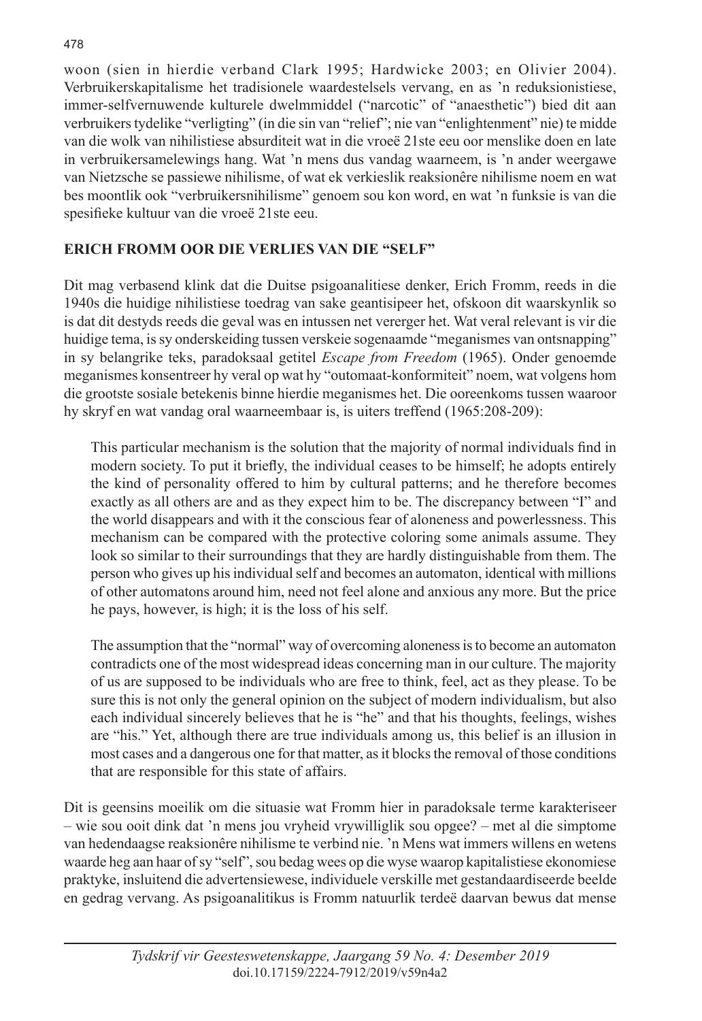woon (sien in hierdie verband Clark 1995; Hardwicke 2003; en Olivier 2004). Verbruikerskapitalisme het tradisionele waardestelsels vervang, en as 'n reduksionistiese, immer-selfvernuwende kulturele dwelmmiddel ("narcotic" of "anaesthetic") bied dit aan verbruikers tydelike "verligting" (in die sin van "relief"; nie van "enlightenment" nie) te midde van die wolk van nihilistiese absurditeit wat in die vroeë 21ste eeu oor menslike doen en late in verbruikersamelewings hang. Wat 'n mens dus vandag waarneem, is 'n ander weergawe van Nietzsche se passiewe nihilisme, of wat ek verkieslik reaksionêre nihilisme noem en wat bes moontlik ook "verbruikersnihilisme" genoem sou kon word, en wat 'n funksie is van die spesifieke kultuur van die vroeë 21ste eeu.

# **ERICH FROMM OOR DIE VERLIES VAN DIE "SELF"**

Dit mag verbasend klink dat die Duitse psigoanalitiese denker, Erich Fromm, reeds in die 1940s die huidige nihilistiese toedrag van sake geantisipeer het, ofskoon dit waarskynlik so is dat dit destyds reeds die geval was en intussen net vererger het. Wat veral relevant is vir die huidige tema, is sy onderskeiding tussen verskeie sogenaamde "meganismes van ontsnapping" in sy belangrike teks, paradoksaal getitel *Escape from Freedom* (1965). Onder genoemde meganismes konsentreer hy veral op wat hy "outomaat-konformiteit" noem, wat volgens hom die grootste sosiale betekenis binne hierdie meganismes het. Die ooreenkoms tussen waaroor hy skryf en wat vandag oral waarneembaar is, is uiters treffend (1965:208-209):

This particular mechanism is the solution that the majority of normal individuals find in modern society. To put it briefly, the individual ceases to be himself; he adopts entirely the kind of personality offered to him by cultural patterns; and he therefore becomes exactly as all others are and as they expect him to be. The discrepancy between "I" and the world disappears and with it the conscious fear of aloneness and powerlessness. This mechanism can be compared with the protective coloring some animals assume. They look so similar to their surroundings that they are hardly distinguishable from them. The person who gives up his individual self and becomes an automaton, identical with millions of other automatons around him, need not feel alone and anxious any more. But the price he pays, however, is high; it is the loss of his self.

The assumption that the "normal" way of overcoming aloneness is to become an automaton contradicts one of the most widespread ideas concerning man in our culture. The majority of us are supposed to be individuals who are free to think, feel, act as they please. To be sure this is not only the general opinion on the subject of modern individualism, but also each individual sincerely believes that he is "he" and that his thoughts, feelings, wishes are "his." Yet, although there are true individuals among us, this belief is an illusion in most cases and a dangerous one for that matter, as it blocks the removal of those conditions that are responsible for this state of affairs.

Dit is geensins moeilik om die situasie wat Fromm hier in paradoksale terme karakteriseer – wie sou ooit dink dat 'n mens jou vryheid vrywilliglik sou opgee? – met al die simptome van hedendaagse reaksionêre nihilisme te verbind nie. 'n Mens wat immers willens en wetens waarde heg aan haar of sy "self", sou bedag wees op die wyse waarop kapitalistiese ekonomiese praktyke, insluitend die advertensiewese, individuele verskille met gestandaardiseerde beelde en gedrag vervang. As psigoanalitikus is Fromm natuurlik terdeë daarvan bewus dat mense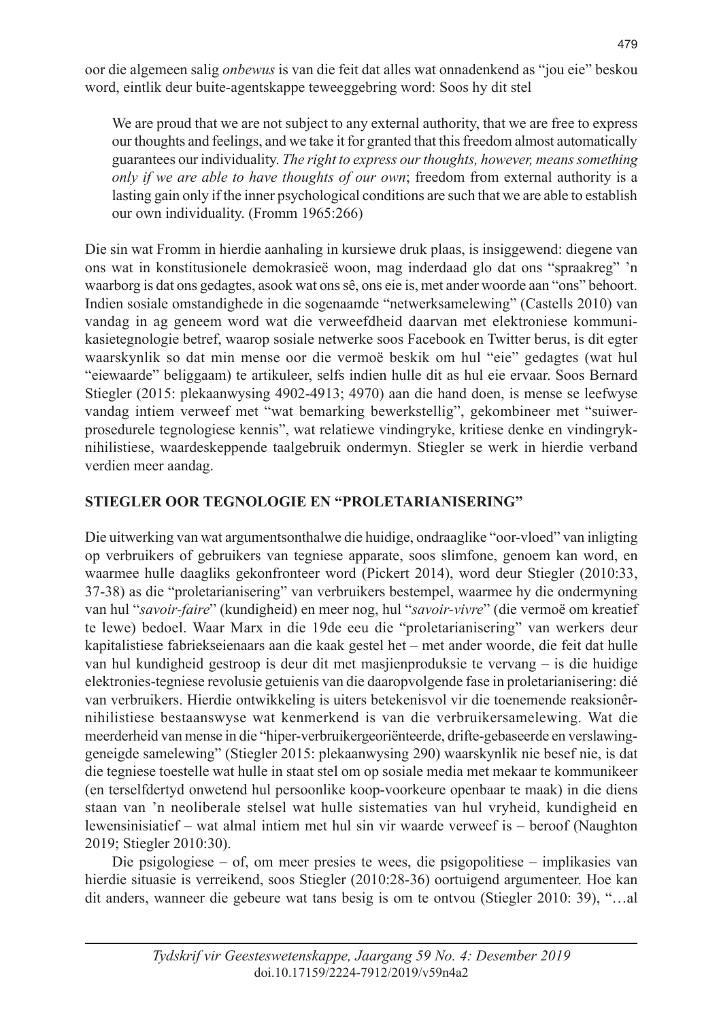oor die algemeen salig *onbewus* is van die feit dat alles wat onnadenkend as "jou eie" beskou word, eintlik deur buite-agentskappe teweeggebring word: Soos hy dit stel

We are proud that we are not subject to any external authority, that we are free to express our thoughts and feelings, and we take it for granted that this freedom almost automatically guarantees our individuality. *The right to express our thoughts, however, means something only if we are able to have thoughts of our own*; freedom from external authority is a lasting gain only if the inner psychological conditions are such that we are able to establish our own individuality. (Fromm 1965:266)

Die sin wat Fromm in hierdie aanhaling in kursiewe druk plaas, is insiggewend: diegene van ons wat in konstitusionele demokrasieë woon, mag inderdaad glo dat ons "spraakreg" 'n waarborg is dat ons gedagtes, asook wat ons sê, ons eie is, met ander woorde aan "ons" behoort. Indien sosiale omstandighede in die sogenaamde "netwerksamelewing" (Castells 2010) van vandag in ag geneem word wat die verweefdheid daarvan met elektroniese kommunikasietegnologie betref, waarop sosiale netwerke soos Facebook en Twitter berus, is dit egter waarskynlik so dat min mense oor die vermoë beskik om hul "eie" gedagtes (wat hul "eiewaarde" beliggaam) te artikuleer, selfs indien hulle dit as hul eie ervaar. Soos Bernard Stiegler (2015: plekaanwysing 4902-4913; 4970) aan die hand doen, is mense se leefwyse vandag intiem verweef met "wat bemarking bewerkstellig", gekombineer met "suiwerprosedurele tegnologiese kennis", wat relatiewe vindingryke, kritiese denke en vindingryknihilistiese, waardeskeppende taalgebruik ondermyn. Stiegler se werk in hierdie verband verdien meer aandag.

# **STIEGLER OOR TEGNOLOGIE EN "PROLETARIANISERING"**

Die uitwerking van wat argumentsonthalwe die huidige, ondraaglike "oor-vloed" van inligting op verbruikers of gebruikers van tegniese apparate, soos slimfone, genoem kan word, en waarmee hulle daagliks gekonfronteer word (Pickert 2014), word deur Stiegler (2010:33, 37-38) as die "proletarianisering" van verbruikers bestempel, waarmee hy die ondermyning van hul "*savoir-faire*" (kundigheid) en meer nog, hul "*savoir-vivre*" (die vermoë om kreatief te lewe) bedoel. Waar Marx in die 19de eeu die "proletarianisering" van werkers deur kapitalistiese fabriekseienaars aan die kaak gestel het – met ander woorde, die feit dat hulle van hul kundigheid gestroop is deur dit met masjienproduksie te vervang – is die huidige elektronies-tegniese revolusie getuienis van die daaropvolgende fase in proletarianisering: dié van verbruikers. Hierdie ontwikkeling is uiters betekenisvol vir die toenemende reaksionêrnihilistiese bestaanswyse wat kenmerkend is van die verbruikersamelewing. Wat die meerderheid van mense in die "hiper-verbruikergeoriënteerde, drifte-gebaseerde en verslawinggeneigde samelewing" (Stiegler 2015: plekaanwysing 290) waarskynlik nie besef nie, is dat die tegniese toestelle wat hulle in staat stel om op sosiale media met mekaar te kommunikeer (en terselfdertyd onwetend hul persoonlike koop-voorkeure openbaar te maak) in die diens staan van 'n neoliberale stelsel wat hulle sistematies van hul vryheid, kundigheid en lewensinisiatief – wat almal intiem met hul sin vir waarde verweef is – beroof (Naughton 2019; Stiegler 2010:30).

Die psigologiese – of, om meer presies te wees, die psigopolitiese – implikasies van hierdie situasie is verreikend, soos Stiegler (2010:28-36) oortuigend argumenteer. Hoe kan dit anders, wanneer die gebeure wat tans besig is om te ontvou (Stiegler 2010: 39), "…al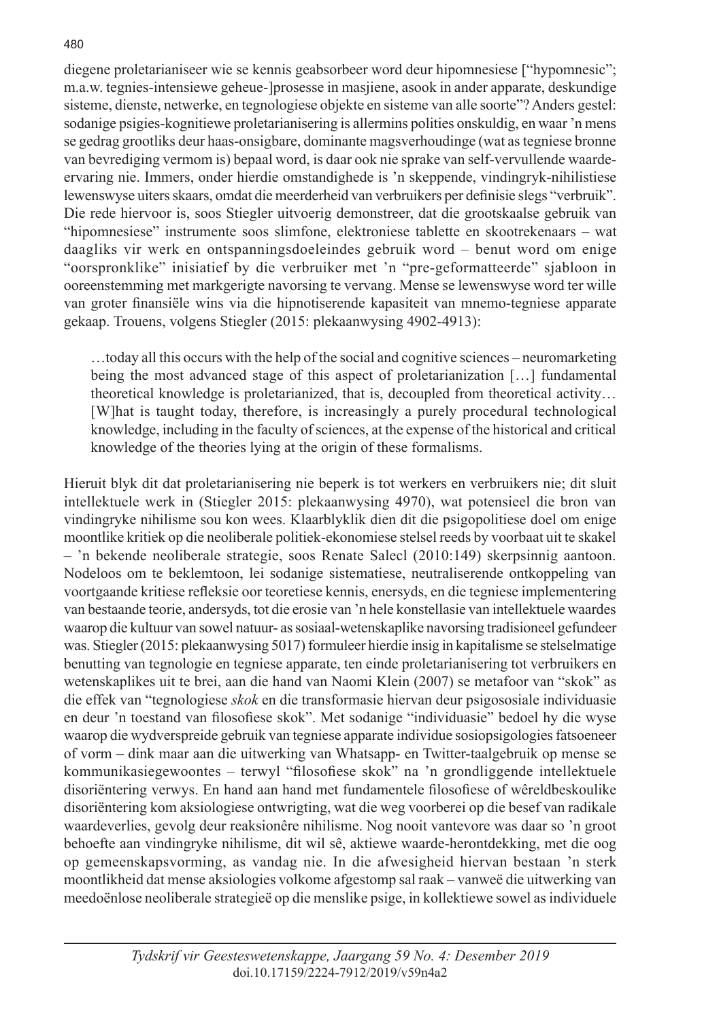diegene proletarianiseer wie se kennis geabsorbeer word deur hipomnesiese ["hypomnesic"; m.a.w. tegnies-intensiewe geheue-]prosesse in masjiene, asook in ander apparate, deskundige sisteme, dienste, netwerke, en tegnologiese objekte en sisteme van alle soorte"? Anders gestel: sodanige psigies-kognitiewe proletarianisering is allermins polities onskuldig, en waar 'n mens se gedrag grootliks deur haas-onsigbare, dominante magsverhoudinge (wat as tegniese bronne van bevrediging vermom is) bepaal word, is daar ook nie sprake van self-vervullende waardeervaring nie. Immers, onder hierdie omstandighede is 'n skeppende, vindingryk-nihilistiese lewenswyse uiters skaars, omdat die meerderheid van verbruikers per definisie slegs "verbruik". Die rede hiervoor is, soos Stiegler uitvoerig demonstreer, dat die grootskaalse gebruik van "hipomnesiese" instrumente soos slimfone, elektroniese tablette en skootrekenaars – wat daagliks vir werk en ontspanningsdoeleindes gebruik word – benut word om enige "oorspronklike" inisiatief by die verbruiker met 'n "pre-geformatteerde" sjabloon in ooreenstemming met markgerigte navorsing te vervang. Mense se lewenswyse word ter wille van groter finansiële wins via die hipnotiserende kapasiteit van mnemo-tegniese apparate gekaap. Trouens, volgens Stiegler (2015: plekaanwysing 4902-4913):

…today all this occurs with the help of the social and cognitive sciences – neuromarketing being the most advanced stage of this aspect of proletarianization […] fundamental theoretical knowledge is proletarianized, that is, decoupled from theoretical activity… [W]hat is taught today, therefore, is increasingly a purely procedural technological knowledge, including in the faculty of sciences, at the expense of the historical and critical knowledge of the theories lying at the origin of these formalisms.

Hieruit blyk dit dat proletarianisering nie beperk is tot werkers en verbruikers nie; dit sluit intellektuele werk in (Stiegler 2015: plekaanwysing 4970), wat potensieel die bron van vindingryke nihilisme sou kon wees. Klaarblyklik dien dit die psigopolitiese doel om enige moontlike kritiek op die neoliberale politiek-ekonomiese stelsel reeds by voorbaat uit te skakel – 'n bekende neoliberale strategie, soos Renate Salecl (2010:149) skerpsinnig aantoon. Nodeloos om te beklemtoon, lei sodanige sistematiese, neutraliserende ontkoppeling van voortgaande kritiese refleksie oor teoretiese kennis, enersyds, en die tegniese implementering van bestaande teorie, andersyds, tot die erosie van 'n hele konstellasie van intellektuele waardes waarop die kultuur van sowel natuur- as sosiaal-wetenskaplike navorsing tradisioneel gefundeer was. Stiegler (2015: plekaanwysing 5017) formuleer hierdie insig in kapitalisme se stelselmatige benutting van tegnologie en tegniese apparate, ten einde proletarianisering tot verbruikers en wetenskaplikes uit te brei, aan die hand van Naomi Klein (2007) se metafoor van "skok" as die effek van "tegnologiese *skok* en die transformasie hiervan deur psigososiale individuasie en deur 'n toestand van filosofiese skok". Met sodanige "individuasie" bedoel hy die wyse waarop die wydverspreide gebruik van tegniese apparate individue sosiopsigologies fatsoeneer of vorm – dink maar aan die uitwerking van Whatsapp- en Twitter-taalgebruik op mense se kommunikasiegewoontes – terwyl "filosofiese skok" na 'n grondliggende intellektuele disoriëntering verwys. En hand aan hand met fundamentele filosofiese of wêreldbeskoulike disoriëntering kom aksiologiese ontwrigting, wat die weg voorberei op die besef van radikale waardeverlies, gevolg deur reaksionêre nihilisme. Nog nooit vantevore was daar so 'n groot behoefte aan vindingryke nihilisme, dit wil sê, aktiewe waarde-herontdekking, met die oog op gemeenskapsvorming, as vandag nie. In die afwesigheid hiervan bestaan 'n sterk moontlikheid dat mense aksiologies volkome afgestomp sal raak – vanweë die uitwerking van meedoënlose neoliberale strategieë op die menslike psige, in kollektiewe sowel as individuele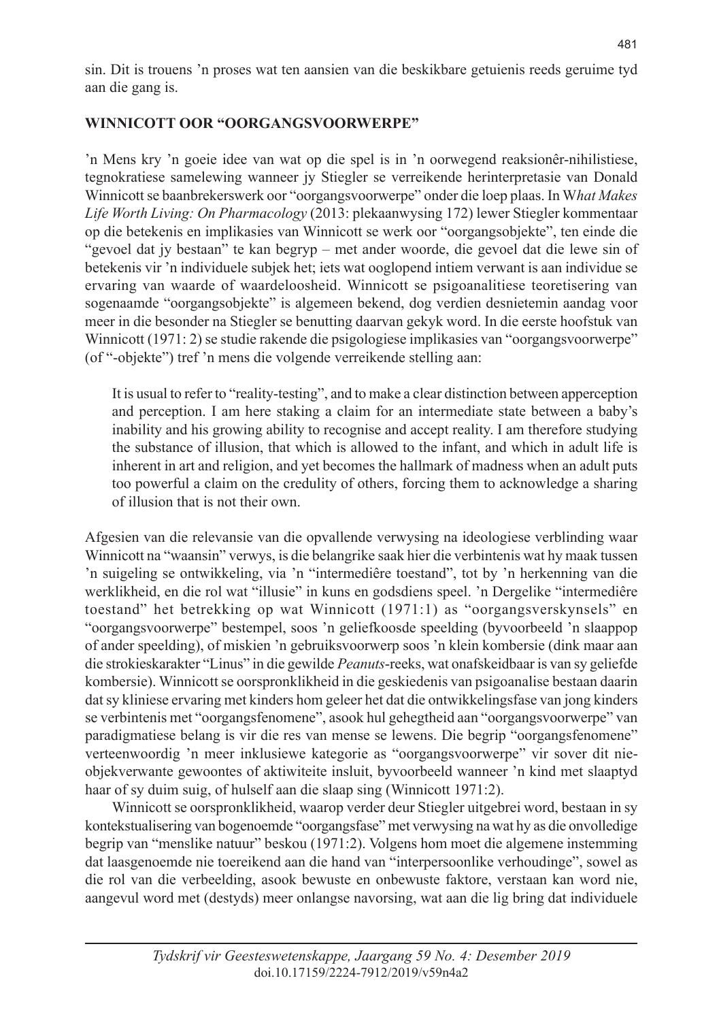sin. Dit is trouens 'n proses wat ten aansien van die beskikbare getuienis reeds geruime tyd aan die gang is.

#### **WINNICOTT OOR "OORGANGSVOORWERPE"**

'n Mens kry 'n goeie idee van wat op die spel is in 'n oorwegend reaksionêr-nihilistiese, tegnokratiese samelewing wanneer jy Stiegler se verreikende herinterpretasie van Donald Winnicott se baanbrekerswerk oor "oorgangsvoorwerpe" onder die loep plaas. In W*hat Makes Life Worth Living: On Pharmacology* (2013: plekaanwysing 172) lewer Stiegler kommentaar op die betekenis en implikasies van Winnicott se werk oor "oorgangsobjekte", ten einde die "gevoel dat jy bestaan" te kan begryp – met ander woorde, die gevoel dat die lewe sin of betekenis vir 'n individuele subjek het; iets wat ooglopend intiem verwant is aan individue se ervaring van waarde of waardeloosheid. Winnicott se psigoanalitiese teoretisering van sogenaamde "oorgangsobjekte" is algemeen bekend, dog verdien desnietemin aandag voor meer in die besonder na Stiegler se benutting daarvan gekyk word. In die eerste hoofstuk van Winnicott (1971: 2) se studie rakende die psigologiese implikasies van "oorgangsvoorwerpe" (of "-objekte") tref 'n mens die volgende verreikende stelling aan:

It is usual to refer to "reality-testing", and to make a clear distinction between apperception and perception. I am here staking a claim for an intermediate state between a baby's inability and his growing ability to recognise and accept reality. I am therefore studying the substance of illusion, that which is allowed to the infant, and which in adult life is inherent in art and religion, and yet becomes the hallmark of madness when an adult puts too powerful a claim on the credulity of others, forcing them to acknowledge a sharing of illusion that is not their own.

Afgesien van die relevansie van die opvallende verwysing na ideologiese verblinding waar Winnicott na "waansin" verwys, is die belangrike saak hier die verbintenis wat hy maak tussen 'n suigeling se ontwikkeling, via 'n "intermediêre toestand", tot by 'n herkenning van die werklikheid, en die rol wat "illusie" in kuns en godsdiens speel. 'n Dergelike "intermediêre toestand" het betrekking op wat Winnicott (1971:1) as "oorgangsverskynsels" en "oorgangsvoorwerpe" bestempel, soos 'n geliefkoosde speelding (byvoorbeeld 'n slaappop of ander speelding), of miskien 'n gebruiksvoorwerp soos 'n klein kombersie (dink maar aan die strokieskarakter "Linus" in die gewilde *Peanuts*-reeks, wat onafskeidbaar is van sy geliefde kombersie). Winnicott se oorspronklikheid in die geskiedenis van psigoanalise bestaan daarin dat sy kliniese ervaring met kinders hom geleer het dat die ontwikkelingsfase van jong kinders se verbintenis met "oorgangsfenomene", asook hul gehegtheid aan "oorgangsvoorwerpe" van paradigmatiese belang is vir die res van mense se lewens. Die begrip "oorgangsfenomene" verteenwoordig 'n meer inklusiewe kategorie as "oorgangsvoorwerpe" vir sover dit nieobjekverwante gewoontes of aktiwiteite insluit, byvoorbeeld wanneer 'n kind met slaaptyd haar of sy duim suig, of hulself aan die slaap sing (Winnicott 1971:2).

Winnicott se oorspronklikheid, waarop verder deur Stiegler uitgebrei word, bestaan in sy kontekstualisering van bogenoemde "oorgangsfase" met verwysing na wat hy as die onvolledige begrip van "menslike natuur" beskou (1971:2). Volgens hom moet die algemene instemming dat laasgenoemde nie toereikend aan die hand van "interpersoonlike verhoudinge", sowel as die rol van die verbeelding, asook bewuste en onbewuste faktore, verstaan kan word nie, aangevul word met (destyds) meer onlangse navorsing, wat aan die lig bring dat individuele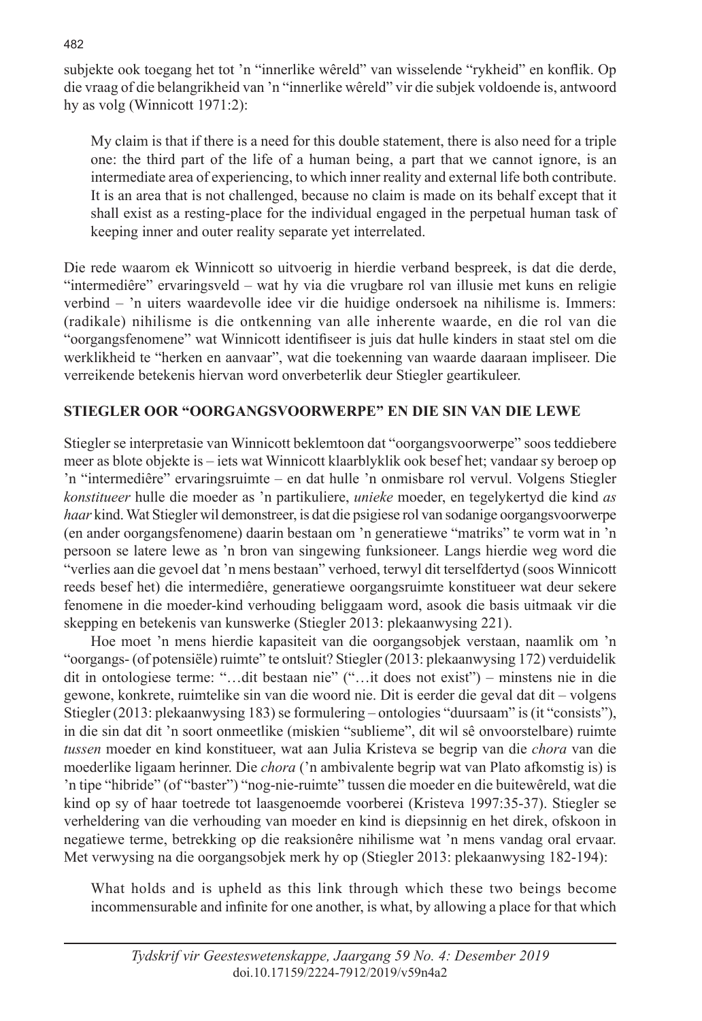subjekte ook toegang het tot 'n "innerlike wêreld" van wisselende "rykheid" en konflik. Op die vraag of die belangrikheid van 'n "innerlike wêreld" vir die subjek voldoende is, antwoord hy as volg (Winnicott 1971:2):

My claim is that if there is a need for this double statement, there is also need for a triple one: the third part of the life of a human being, a part that we cannot ignore, is an intermediate area of experiencing, to which inner reality and external life both contribute. It is an area that is not challenged, because no claim is made on its behalf except that it shall exist as a resting-place for the individual engaged in the perpetual human task of keeping inner and outer reality separate yet interrelated.

Die rede waarom ek Winnicott so uitvoerig in hierdie verband bespreek, is dat die derde, "intermediêre" ervaringsveld – wat hy via die vrugbare rol van illusie met kuns en religie verbind – 'n uiters waardevolle idee vir die huidige ondersoek na nihilisme is. Immers: (radikale) nihilisme is die ontkenning van alle inherente waarde, en die rol van die "oorgangsfenomene" wat Winnicott identifiseer is juis dat hulle kinders in staat stel om die werklikheid te "herken en aanvaar", wat die toekenning van waarde daaraan impliseer. Die verreikende betekenis hiervan word onverbeterlik deur Stiegler geartikuleer.

# **STIEGLER OOR "OORGANGSVOORWERPE" EN DIE SIN VAN DIE LEWE**

Stiegler se interpretasie van Winnicott beklemtoon dat "oorgangsvoorwerpe" soos teddiebere meer as blote objekte is – iets wat Winnicott klaarblyklik ook besef het; vandaar sy beroep op 'n "intermediêre" ervaringsruimte – en dat hulle 'n onmisbare rol vervul. Volgens Stiegler *konstitueer* hulle die moeder as 'n partikuliere, *unieke* moeder, en tegelykertyd die kind *as haar* kind. Wat Stiegler wil demonstreer, is dat die psigiese rol van sodanige oorgangsvoorwerpe (en ander oorgangsfenomene) daarin bestaan om 'n generatiewe "matriks" te vorm wat in 'n persoon se latere lewe as 'n bron van singewing funksioneer. Langs hierdie weg word die "verlies aan die gevoel dat 'n mens bestaan" verhoed, terwyl dit terselfdertyd (soos Winnicott reeds besef het) die intermediêre, generatiewe oorgangsruimte konstitueer wat deur sekere fenomene in die moeder-kind verhouding beliggaam word, asook die basis uitmaak vir die skepping en betekenis van kunswerke (Stiegler 2013: plekaanwysing 221).

Hoe moet 'n mens hierdie kapasiteit van die oorgangsobjek verstaan, naamlik om 'n "oorgangs- (of potensiële) ruimte" te ontsluit? Stiegler (2013: plekaanwysing 172) verduidelik dit in ontologiese terme: "…dit bestaan nie" ("…it does not exist") – minstens nie in die gewone, konkrete, ruimtelike sin van die woord nie. Dit is eerder die geval dat dit – volgens Stiegler (2013: plekaanwysing 183) se formulering – ontologies "duursaam" is (it "consists"), in die sin dat dit 'n soort onmeetlike (miskien "sublieme", dit wil sê onvoorstelbare) ruimte *tussen* moeder en kind konstitueer, wat aan Julia Kristeva se begrip van die *chora* van die moederlike ligaam herinner. Die *chora* ('n ambivalente begrip wat van Plato afkomstig is) is 'n tipe "hibride" (of "baster") "nog-nie-ruimte" tussen die moeder en die buitewêreld, wat die kind op sy of haar toetrede tot laasgenoemde voorberei (Kristeva 1997:35-37). Stiegler se verheldering van die verhouding van moeder en kind is diepsinnig en het direk, ofskoon in negatiewe terme, betrekking op die reaksionêre nihilisme wat 'n mens vandag oral ervaar. Met verwysing na die oorgangsobjek merk hy op (Stiegler 2013: plekaanwysing 182-194):

What holds and is upheld as this link through which these two beings become incommensurable and infinite for one another, is what, by allowing a place for that which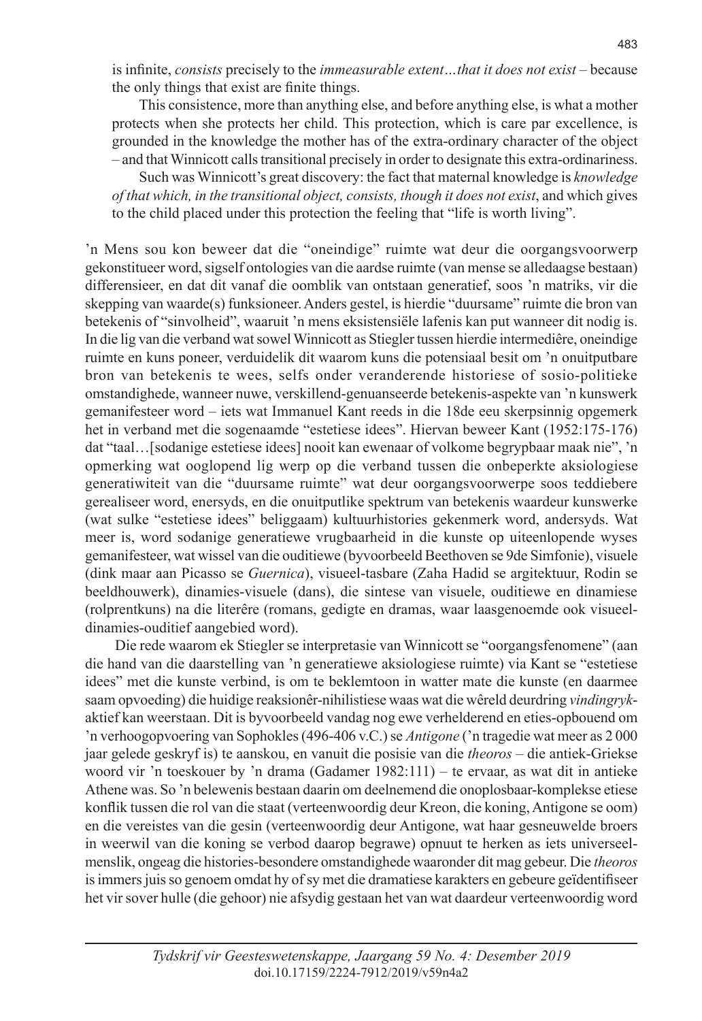is infinite, *consists* precisely to the *immeasurable extent…that it does not exist* – because the only things that exist are finite things.

This consistence, more than anything else, and before anything else, is what a mother protects when she protects her child. This protection, which is care par excellence, is grounded in the knowledge the mother has of the extra-ordinary character of the object – and that Winnicott calls transitional precisely in order to designate this extra-ordinariness.

 Such was Winnicott's great discovery: the fact that maternal knowledge is *knowledge of that which, in the transitional object, consists, though it does not exist*, and which gives to the child placed under this protection the feeling that "life is worth living".

'n Mens sou kon beweer dat die "oneindige" ruimte wat deur die oorgangsvoorwerp gekonstitueer word, sigself ontologies van die aardse ruimte (van mense se alledaagse bestaan) differensieer, en dat dit vanaf die oomblik van ontstaan generatief, soos 'n matriks, vir die skepping van waarde(s) funksioneer. Anders gestel, is hierdie "duursame" ruimte die bron van betekenis of "sinvolheid", waaruit 'n mens eksistensiële lafenis kan put wanneer dit nodig is. In die lig van die verband wat sowel Winnicott as Stiegler tussen hierdie intermediêre, oneindige ruimte en kuns poneer, verduidelik dit waarom kuns die potensiaal besit om 'n onuitputbare bron van betekenis te wees, selfs onder veranderende historiese of sosio-politieke omstandighede, wanneer nuwe, verskillend-genuanseerde betekenis-aspekte van 'n kunswerk gemanifesteer word – iets wat Immanuel Kant reeds in die 18de eeu skerpsinnig opgemerk het in verband met die sogenaamde "estetiese idees". Hiervan beweer Kant (1952:175-176) dat "taal…[sodanige estetiese idees] nooit kan ewenaar of volkome begrypbaar maak nie", 'n opmerking wat ooglopend lig werp op die verband tussen die onbeperkte aksiologiese generatiwiteit van die "duursame ruimte" wat deur oorgangsvoorwerpe soos teddiebere gerealiseer word, enersyds, en die onuitputlike spektrum van betekenis waardeur kunswerke (wat sulke "estetiese idees" beliggaam) kultuurhistories gekenmerk word, andersyds. Wat meer is, word sodanige generatiewe vrugbaarheid in die kunste op uiteenlopende wyses gemanifesteer, wat wissel van die ouditiewe (byvoorbeeld Beethoven se 9de Simfonie), visuele (dink maar aan Picasso se *Guernica*), visueel-tasbare (Zaha Hadid se argitektuur, Rodin se beeldhouwerk), dinamies-visuele (dans), die sintese van visuele, ouditiewe en dinamiese (rolprentkuns) na die literêre (romans, gedigte en dramas, waar laasgenoemde ook visueeldinamies-ouditief aangebied word).

 Die rede waarom ek Stiegler se interpretasie van Winnicott se "oorgangsfenomene" (aan die hand van die daarstelling van 'n generatiewe aksiologiese ruimte) via Kant se "estetiese idees" met die kunste verbind, is om te beklemtoon in watter mate die kunste (en daarmee saam opvoeding) die huidige reaksionêr-nihilistiese waas wat die wêreld deurdring *vindingryk*aktief kan weerstaan. Dit is byvoorbeeld vandag nog ewe verhelderend en eties-opbouend om 'n verhoogopvoering van Sophokles (496-406 v.C.) se *Antigone* ('n tragedie wat meer as 2 000 jaar gelede geskryf is) te aanskou, en vanuit die posisie van die *theoros* – die antiek-Griekse woord vir 'n toeskouer by 'n drama (Gadamer 1982:111) – te ervaar, as wat dit in antieke Athene was. So 'n belewenis bestaan daarin om deelnemend die onoplosbaar-komplekse etiese konflik tussen die rol van die staat (verteenwoordig deur Kreon, die koning, Antigone se oom) en die vereistes van die gesin (verteenwoordig deur Antigone, wat haar gesneuwelde broers in weerwil van die koning se verbod daarop begrawe) opnuut te herken as iets universeelmenslik, ongeag die histories-besondere omstandighede waaronder dit mag gebeur. Die *theoros* is immers juis so genoem omdat hy of sy met die dramatiese karakters en gebeure geïdentifiseer het vir sover hulle (die gehoor) nie afsydig gestaan het van wat daardeur verteenwoordig word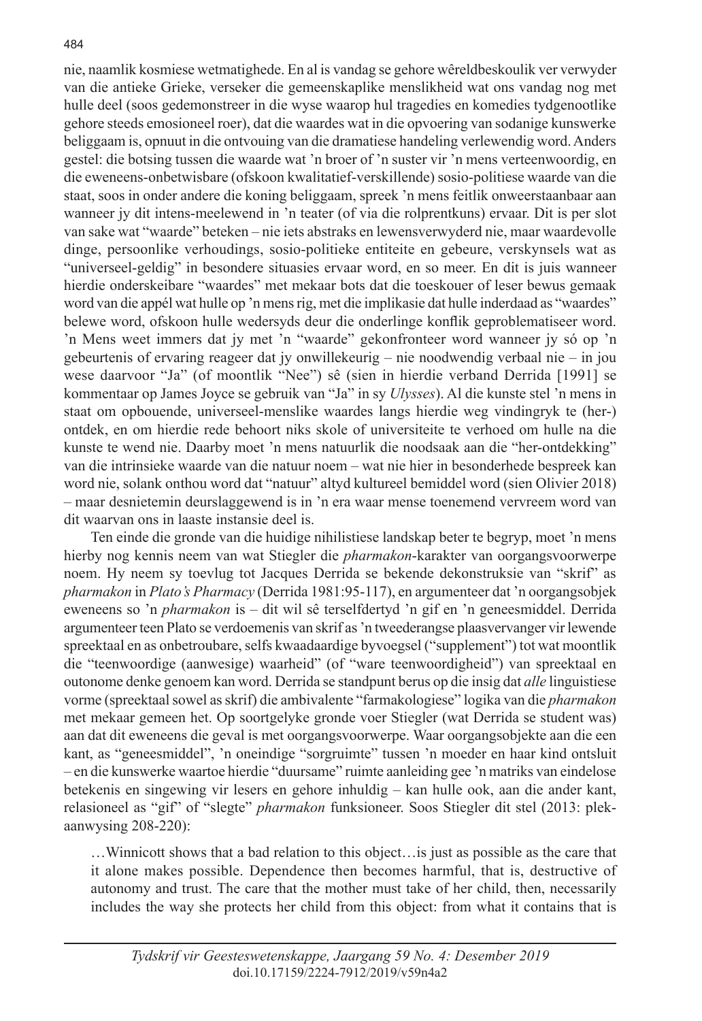nie, naamlik kosmiese wetmatighede. En al is vandag se gehore wêreldbeskoulik ver verwyder van die antieke Grieke, verseker die gemeenskaplike menslikheid wat ons vandag nog met hulle deel (soos gedemonstreer in die wyse waarop hul tragedies en komedies tydgenootlike gehore steeds emosioneel roer), dat die waardes wat in die opvoering van sodanige kunswerke beliggaam is, opnuut in die ontvouing van die dramatiese handeling verlewendig word. Anders gestel: die botsing tussen die waarde wat 'n broer of 'n suster vir 'n mens verteenwoordig, en die eweneens-onbetwisbare (ofskoon kwalitatief-verskillende) sosio-politiese waarde van die staat, soos in onder andere die koning beliggaam, spreek 'n mens feitlik onweerstaanbaar aan wanneer jy dit intens-meelewend in 'n teater (of via die rolprentkuns) ervaar. Dit is per slot van sake wat "waarde" beteken – nie iets abstraks en lewensverwyderd nie, maar waardevolle dinge, persoonlike verhoudings, sosio-politieke entiteite en gebeure, verskynsels wat as "universeel-geldig" in besondere situasies ervaar word, en so meer. En dit is juis wanneer hierdie onderskeibare "waardes" met mekaar bots dat die toeskouer of leser bewus gemaak word van die appél wat hulle op 'n mens rig, met die implikasie dat hulle inderdaad as "waardes" belewe word, ofskoon hulle wedersyds deur die onderlinge konflik geproblematiseer word. 'n Mens weet immers dat jy met 'n "waarde" gekonfronteer word wanneer jy só op 'n gebeurtenis of ervaring reageer dat jy onwillekeurig – nie noodwendig verbaal nie – in jou wese daarvoor "Ja" (of moontlik "Nee") sê (sien in hierdie verband Derrida [1991] se kommentaar op James Joyce se gebruik van "Ja" in sy *Ulysses*). Al die kunste stel 'n mens in staat om opbouende, universeel-menslike waardes langs hierdie weg vindingryk te (her-) ontdek, en om hierdie rede behoort niks skole of universiteite te verhoed om hulle na die kunste te wend nie. Daarby moet 'n mens natuurlik die noodsaak aan die "her-ontdekking" van die intrinsieke waarde van die natuur noem – wat nie hier in besonderhede bespreek kan word nie, solank onthou word dat "natuur" altyd kultureel bemiddel word (sien Olivier 2018) – maar desnietemin deurslaggewend is in 'n era waar mense toenemend vervreem word van dit waarvan ons in laaste instansie deel is.

Ten einde die gronde van die huidige nihilistiese landskap beter te begryp, moet 'n mens hierby nog kennis neem van wat Stiegler die *pharmakon*-karakter van oorgangsvoorwerpe noem. Hy neem sy toevlug tot Jacques Derrida se bekende dekonstruksie van "skrif" as *pharmakon* in *Plato's Pharmacy* (Derrida 1981:95-117), en argumenteer dat 'n oorgangsobjek eweneens so 'n *pharmakon* is – dit wil sê terselfdertyd 'n gif en 'n geneesmiddel. Derrida argumenteer teen Plato se verdoemenis van skrif as 'n tweederangse plaasvervanger vir lewende spreektaal en as onbetroubare, selfs kwaadaardige byvoegsel ("supplement") tot wat moontlik die "teenwoordige (aanwesige) waarheid" (of "ware teenwoordigheid") van spreektaal en outonome denke genoem kan word. Derrida se standpunt berus op die insig dat *alle* linguistiese vorme (spreektaal sowel as skrif) die ambivalente "farmakologiese" logika van die *pharmakon*  met mekaar gemeen het. Op soortgelyke gronde voer Stiegler (wat Derrida se student was) aan dat dit eweneens die geval is met oorgangsvoorwerpe. Waar oorgangsobjekte aan die een kant, as "geneesmiddel", 'n oneindige "sorgruimte" tussen 'n moeder en haar kind ontsluit – en die kunswerke waartoe hierdie "duursame" ruimte aanleiding gee 'n matriks van eindelose betekenis en singewing vir lesers en gehore inhuldig – kan hulle ook, aan die ander kant, relasioneel as "gif" of "slegte" *pharmakon* funksioneer. Soos Stiegler dit stel (2013: plekaanwysing 208-220):

…Winnicott shows that a bad relation to this object…is just as possible as the care that it alone makes possible. Dependence then becomes harmful, that is, destructive of autonomy and trust. The care that the mother must take of her child, then, necessarily includes the way she protects her child from this object: from what it contains that is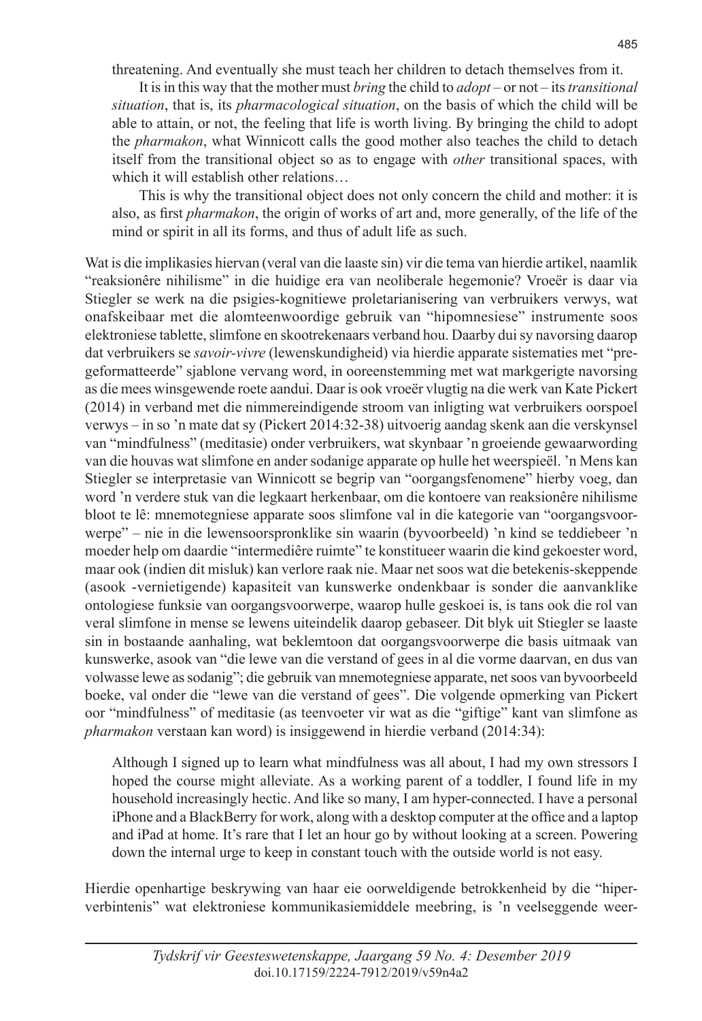threatening. And eventually she must teach her children to detach themselves from it.

It is in this way that the mother must *bring* the child to *adopt* – or not – its *transitional situation*, that is, its *pharmacological situation*, on the basis of which the child will be able to attain, or not, the feeling that life is worth living. By bringing the child to adopt the *pharmakon*, what Winnicott calls the good mother also teaches the child to detach itself from the transitional object so as to engage with *other* transitional spaces, with which it will establish other relations…

 This is why the transitional object does not only concern the child and mother: it is also, as first *pharmakon*, the origin of works of art and, more generally, of the life of the mind or spirit in all its forms, and thus of adult life as such.

Wat is die implikasies hiervan (veral van die laaste sin) vir die tema van hierdie artikel, naamlik "reaksionêre nihilisme" in die huidige era van neoliberale hegemonie? Vroeër is daar via Stiegler se werk na die psigies-kognitiewe proletarianisering van verbruikers verwys, wat onafskeibaar met die alomteenwoordige gebruik van "hipomnesiese" instrumente soos elektroniese tablette, slimfone en skootrekenaars verband hou. Daarby dui sy navorsing daarop dat verbruikers se *savoir-vivre* (lewenskundigheid) via hierdie apparate sistematies met "pregeformatteerde" sjablone vervang word, in ooreenstemming met wat markgerigte navorsing as die mees winsgewende roete aandui. Daar is ook vroeër vlugtig na die werk van Kate Pickert (2014) in verband met die nimmereindigende stroom van inligting wat verbruikers oorspoel verwys – in so 'n mate dat sy (Pickert 2014:32-38) uitvoerig aandag skenk aan die verskynsel van "mindfulness" (meditasie) onder verbruikers, wat skynbaar 'n groeiende gewaarwording van die houvas wat slimfone en ander sodanige apparate op hulle het weerspieël. 'n Mens kan Stiegler se interpretasie van Winnicott se begrip van "oorgangsfenomene" hierby voeg, dan word 'n verdere stuk van die legkaart herkenbaar, om die kontoere van reaksionêre nihilisme bloot te lê: mnemotegniese apparate soos slimfone val in die kategorie van "oorgangsvoorwerpe" – nie in die lewensoorspronklike sin waarin (byvoorbeeld) 'n kind se teddiebeer 'n moeder help om daardie "intermediêre ruimte" te konstitueer waarin die kind gekoester word, maar ook (indien dit misluk) kan verlore raak nie. Maar net soos wat die betekenis-skeppende (asook -vernietigende) kapasiteit van kunswerke ondenkbaar is sonder die aanvanklike ontologiese funksie van oorgangsvoorwerpe, waarop hulle geskoei is, is tans ook die rol van veral slimfone in mense se lewens uiteindelik daarop gebaseer. Dit blyk uit Stiegler se laaste sin in bostaande aanhaling, wat beklemtoon dat oorgangsvoorwerpe die basis uitmaak van kunswerke, asook van "die lewe van die verstand of gees in al die vorme daarvan, en dus van volwasse lewe as sodanig"; die gebruik van mnemotegniese apparate, net soos van byvoorbeeld boeke, val onder die "lewe van die verstand of gees". Die volgende opmerking van Pickert oor "mindfulness" of meditasie (as teenvoeter vir wat as die "giftige" kant van slimfone as *pharmakon* verstaan kan word) is insiggewend in hierdie verband (2014:34):

Although I signed up to learn what mindfulness was all about, I had my own stressors I hoped the course might alleviate. As a working parent of a toddler, I found life in my household increasingly hectic. And like so many, I am hyper-connected. I have a personal iPhone and a BlackBerry for work, along with a desktop computer at the office and a laptop and iPad at home. It's rare that I let an hour go by without looking at a screen. Powering down the internal urge to keep in constant touch with the outside world is not easy.

Hierdie openhartige beskrywing van haar eie oorweldigende betrokkenheid by die "hiperverbintenis" wat elektroniese kommunikasiemiddele meebring, is 'n veelseggende weer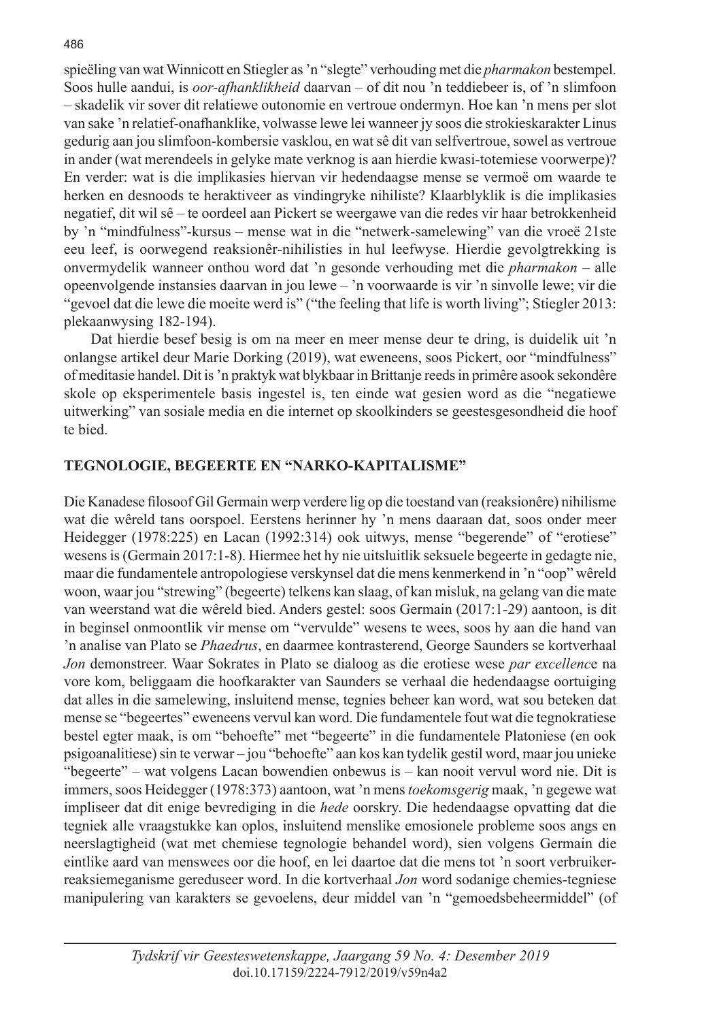spieëling van wat Winnicott en Stiegler as 'n "slegte" verhouding met die *pharmakon* bestempel. Soos hulle aandui, is *oor-afhanklikheid* daarvan – of dit nou 'n teddiebeer is, of 'n slimfoon – skadelik vir sover dit relatiewe outonomie en vertroue ondermyn. Hoe kan 'n mens per slot van sake 'n relatief-onafhanklike, volwasse lewe lei wanneer jy soos die strokieskarakter Linus gedurig aan jou slimfoon-kombersie vasklou, en wat sê dit van selfvertroue, sowel as vertroue in ander (wat merendeels in gelyke mate verknog is aan hierdie kwasi-totemiese voorwerpe)? En verder: wat is die implikasies hiervan vir hedendaagse mense se vermoë om waarde te herken en desnoods te heraktiveer as vindingryke nihiliste? Klaarblyklik is die implikasies negatief, dit wil sê – te oordeel aan Pickert se weergawe van die redes vir haar betrokkenheid by 'n "mindfulness"-kursus – mense wat in die "netwerk-samelewing" van die vroeë 21ste eeu leef, is oorwegend reaksionêr-nihilisties in hul leefwyse. Hierdie gevolgtrekking is onvermydelik wanneer onthou word dat 'n gesonde verhouding met die *pharmakon* – alle opeenvolgende instansies daarvan in jou lewe – 'n voorwaarde is vir 'n sinvolle lewe; vir die "gevoel dat die lewe die moeite werd is" ("the feeling that life is worth living"; Stiegler 2013: plekaanwysing 182-194).

Dat hierdie besef besig is om na meer en meer mense deur te dring, is duidelik uit 'n onlangse artikel deur Marie Dorking (2019), wat eweneens, soos Pickert, oor "mindfulness" of meditasie handel. Dit is 'n praktyk wat blykbaar in Brittanje reeds in primêre asook sekondêre skole op eksperimentele basis ingestel is, ten einde wat gesien word as die "negatiewe uitwerking" van sosiale media en die internet op skoolkinders se geestesgesondheid die hoof te bied.

### **TEGNOLOGIE, BEGEERTE EN "NARKO-KAPITALISME"**

Die Kanadese filosoof Gil Germain werp verdere lig op die toestand van (reaksionêre) nihilisme wat die wêreld tans oorspoel. Eerstens herinner hy 'n mens daaraan dat, soos onder meer Heidegger (1978:225) en Lacan (1992:314) ook uitwys, mense "begerende" of "erotiese" wesens is (Germain 2017:1-8). Hiermee het hy nie uitsluitlik seksuele begeerte in gedagte nie, maar die fundamentele antropologiese verskynsel dat die mens kenmerkend in 'n "oop" wêreld woon, waar jou "strewing" (begeerte) telkens kan slaag, of kan misluk, na gelang van die mate van weerstand wat die wêreld bied. Anders gestel: soos Germain (2017:1-29) aantoon, is dit in beginsel onmoontlik vir mense om "vervulde" wesens te wees, soos hy aan die hand van 'n analise van Plato se *Phaedrus*, en daarmee kontrasterend, George Saunders se kortverhaal *Jon* demonstreer. Waar Sokrates in Plato se dialoog as die erotiese wese *par excellenc*e na vore kom, beliggaam die hoofkarakter van Saunders se verhaal die hedendaagse oortuiging dat alles in die samelewing, insluitend mense, tegnies beheer kan word, wat sou beteken dat mense se "begeertes" eweneens vervul kan word. Die fundamentele fout wat die tegnokratiese bestel egter maak, is om "behoefte" met "begeerte" in die fundamentele Platoniese (en ook psigoanalitiese) sin te verwar – jou "behoefte" aan kos kan tydelik gestil word, maar jou unieke "begeerte" – wat volgens Lacan bowendien onbewus is – kan nooit vervul word nie. Dit is immers, soos Heidegger (1978:373) aantoon, wat 'n mens *toekomsgerig* maak, 'n gegewe wat impliseer dat dit enige bevrediging in die *hede* oorskry. Die hedendaagse opvatting dat die tegniek alle vraagstukke kan oplos, insluitend menslike emosionele probleme soos angs en neerslagtigheid (wat met chemiese tegnologie behandel word), sien volgens Germain die eintlike aard van menswees oor die hoof, en lei daartoe dat die mens tot 'n soort verbruikerreaksiemeganisme gereduseer word. In die kortverhaal *Jon* word sodanige chemies-tegniese manipulering van karakters se gevoelens, deur middel van 'n "gemoedsbeheermiddel" (of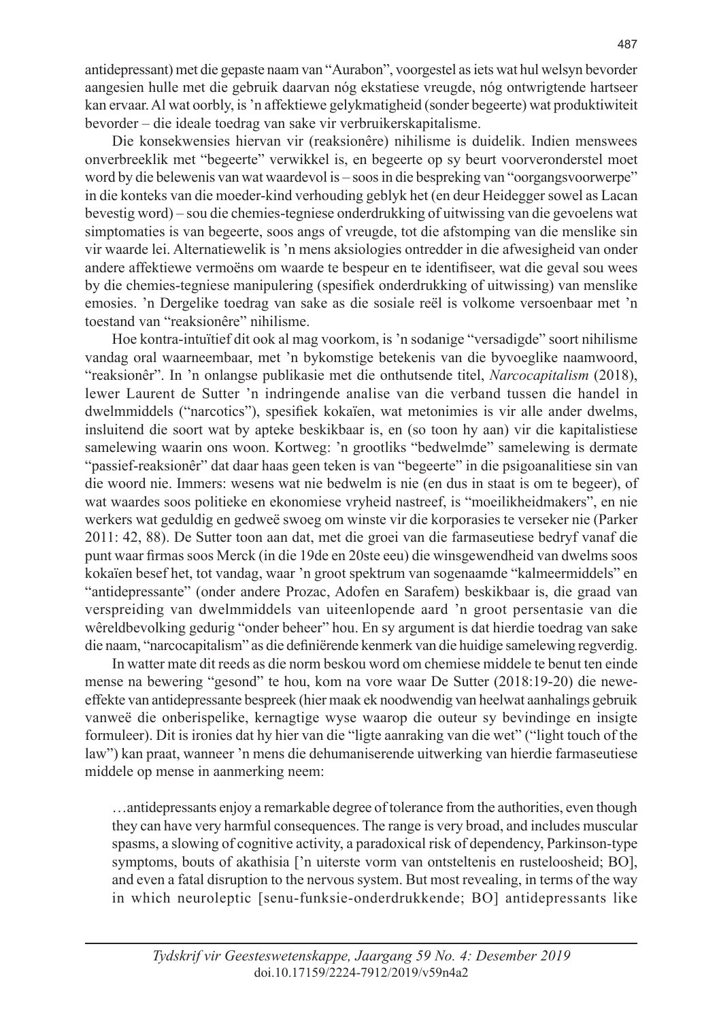antidepressant) met die gepaste naam van "Aurabon", voorgestel as iets wat hul welsyn bevorder aangesien hulle met die gebruik daarvan nóg ekstatiese vreugde, nóg ontwrigtende hartseer kan ervaar. Al wat oorbly, is 'n affektiewe gelykmatigheid (sonder begeerte) wat produktiwiteit bevorder – die ideale toedrag van sake vir verbruikerskapitalisme.

Die konsekwensies hiervan vir (reaksionêre) nihilisme is duidelik. Indien menswees onverbreeklik met "begeerte" verwikkel is, en begeerte op sy beurt voorveronderstel moet word by die belewenis van wat waardevol is – soos in die bespreking van "oorgangsvoorwerpe" in die konteks van die moeder-kind verhouding geblyk het (en deur Heidegger sowel as Lacan bevestig word) – sou die chemies-tegniese onderdrukking of uitwissing van die gevoelens wat simptomaties is van begeerte, soos angs of vreugde, tot die afstomping van die menslike sin vir waarde lei. Alternatiewelik is 'n mens aksiologies ontredder in die afwesigheid van onder andere affektiewe vermoëns om waarde te bespeur en te identifiseer, wat die geval sou wees by die chemies-tegniese manipulering (spesifiek onderdrukking of uitwissing) van menslike emosies. 'n Dergelike toedrag van sake as die sosiale reël is volkome versoenbaar met 'n toestand van "reaksionêre" nihilisme.

Hoe kontra-intuïtief dit ook al mag voorkom, is 'n sodanige "versadigde" soort nihilisme vandag oral waarneembaar, met 'n bykomstige betekenis van die byvoeglike naamwoord, "reaksionêr". In 'n onlangse publikasie met die onthutsende titel, *Narcocapitalism* (2018), lewer Laurent de Sutter 'n indringende analise van die verband tussen die handel in dwelmmiddels ("narcotics"), spesifiek kokaïen, wat metonimies is vir alle ander dwelms, insluitend die soort wat by apteke beskikbaar is, en (so toon hy aan) vir die kapitalistiese samelewing waarin ons woon. Kortweg: 'n grootliks "bedwelmde" samelewing is dermate "passief-reaksionêr" dat daar haas geen teken is van "begeerte" in die psigoanalitiese sin van die woord nie. Immers: wesens wat nie bedwelm is nie (en dus in staat is om te begeer), of wat waardes soos politieke en ekonomiese vryheid nastreef, is "moeilikheidmakers", en nie werkers wat geduldig en gedweë swoeg om winste vir die korporasies te verseker nie (Parker 2011: 42, 88). De Sutter toon aan dat, met die groei van die farmaseutiese bedryf vanaf die punt waar firmas soos Merck (in die 19de en 20ste eeu) die winsgewendheid van dwelms soos kokaïen besef het, tot vandag, waar 'n groot spektrum van sogenaamde "kalmeermiddels" en "antidepressante" (onder andere Prozac, Adofen en Sarafem) beskikbaar is, die graad van verspreiding van dwelmmiddels van uiteenlopende aard 'n groot persentasie van die wêreldbevolking gedurig "onder beheer" hou. En sy argument is dat hierdie toedrag van sake die naam, "narcocapitalism" as die definiërende kenmerk van die huidige samelewing regverdig.

In watter mate dit reeds as die norm beskou word om chemiese middele te benut ten einde mense na bewering "gesond" te hou, kom na vore waar De Sutter (2018:19-20) die neweeffekte van antidepressante bespreek (hier maak ek noodwendig van heelwat aanhalings gebruik vanweë die onberispelike, kernagtige wyse waarop die outeur sy bevindinge en insigte formuleer). Dit is ironies dat hy hier van die "ligte aanraking van die wet" ("light touch of the law") kan praat, wanneer 'n mens die dehumaniserende uitwerking van hierdie farmaseutiese middele op mense in aanmerking neem:

…antidepressants enjoy a remarkable degree of tolerance from the authorities, even though they can have very harmful consequences. The range is very broad, and includes muscular spasms, a slowing of cognitive activity, a paradoxical risk of dependency, Parkinson-type symptoms, bouts of akathisia ['n uiterste vorm van ontsteltenis en rusteloosheid; BO], and even a fatal disruption to the nervous system. But most revealing, in terms of the way in which neuroleptic [senu-funksie-onderdrukkende; BO] antidepressants like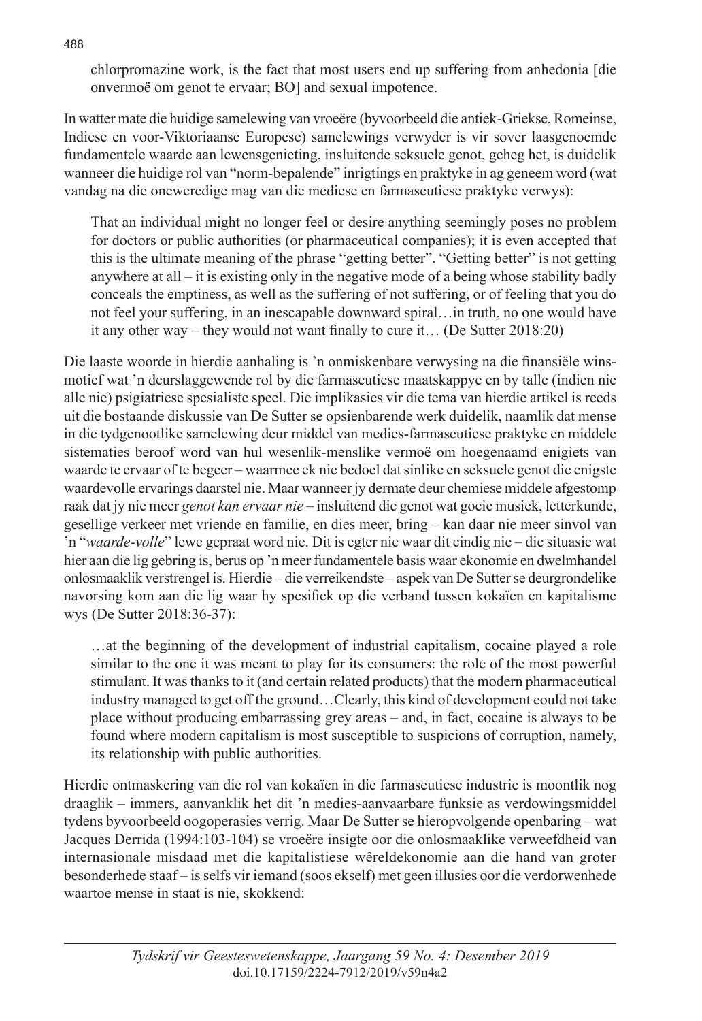chlorpromazine work, is the fact that most users end up suffering from anhedonia [die onvermoë om genot te ervaar; BO] and sexual impotence.

In watter mate die huidige samelewing van vroeëre (byvoorbeeld die antiek-Griekse, Romeinse, Indiese en voor-Viktoriaanse Europese) samelewings verwyder is vir sover laasgenoemde fundamentele waarde aan lewensgenieting, insluitende seksuele genot, geheg het, is duidelik wanneer die huidige rol van "norm-bepalende" inrigtings en praktyke in ag geneem word (wat vandag na die oneweredige mag van die mediese en farmaseutiese praktyke verwys):

That an individual might no longer feel or desire anything seemingly poses no problem for doctors or public authorities (or pharmaceutical companies); it is even accepted that this is the ultimate meaning of the phrase "getting better". "Getting better" is not getting anywhere at all – it is existing only in the negative mode of a being whose stability badly conceals the emptiness, as well as the suffering of not suffering, or of feeling that you do not feel your suffering, in an inescapable downward spiral…in truth, no one would have it any other way – they would not want finally to cure it… (De Sutter 2018:20)

Die laaste woorde in hierdie aanhaling is 'n onmiskenbare verwysing na die finansiële winsmotief wat 'n deurslaggewende rol by die farmaseutiese maatskappye en by talle (indien nie alle nie) psigiatriese spesialiste speel. Die implikasies vir die tema van hierdie artikel is reeds uit die bostaande diskussie van De Sutter se opsienbarende werk duidelik, naamlik dat mense in die tydgenootlike samelewing deur middel van medies-farmaseutiese praktyke en middele sistematies beroof word van hul wesenlik-menslike vermoë om hoegenaamd enigiets van waarde te ervaar of te begeer – waarmee ek nie bedoel dat sinlike en seksuele genot die enigste waardevolle ervarings daarstel nie. Maar wanneer jy dermate deur chemiese middele afgestomp raak dat jy nie meer *genot kan ervaar nie* – insluitend die genot wat goeie musiek, letterkunde, gesellige verkeer met vriende en familie, en dies meer, bring – kan daar nie meer sinvol van 'n "*waarde-volle*" lewe gepraat word nie. Dit is egter nie waar dit eindig nie – die situasie wat hier aan die lig gebring is, berus op 'n meer fundamentele basis waar ekonomie en dwelmhandel onlosmaaklik verstrengel is. Hierdie – die verreikendste – aspek van De Sutter se deurgrondelike navorsing kom aan die lig waar hy spesifiek op die verband tussen kokaïen en kapitalisme wys (De Sutter 2018:36-37):

…at the beginning of the development of industrial capitalism, cocaine played a role similar to the one it was meant to play for its consumers: the role of the most powerful stimulant. It was thanks to it (and certain related products) that the modern pharmaceutical industry managed to get off the ground…Clearly, this kind of development could not take place without producing embarrassing grey areas – and, in fact, cocaine is always to be found where modern capitalism is most susceptible to suspicions of corruption, namely, its relationship with public authorities.

Hierdie ontmaskering van die rol van kokaïen in die farmaseutiese industrie is moontlik nog draaglik – immers, aanvanklik het dit 'n medies-aanvaarbare funksie as verdowingsmiddel tydens byvoorbeeld oogoperasies verrig. Maar De Sutter se hieropvolgende openbaring – wat Jacques Derrida (1994:103-104) se vroeëre insigte oor die onlosmaaklike verweefdheid van internasionale misdaad met die kapitalistiese wêreldekonomie aan die hand van groter besonderhede staaf – is selfs vir iemand (soos ekself) met geen illusies oor die verdorwenhede waartoe mense in staat is nie, skokkend: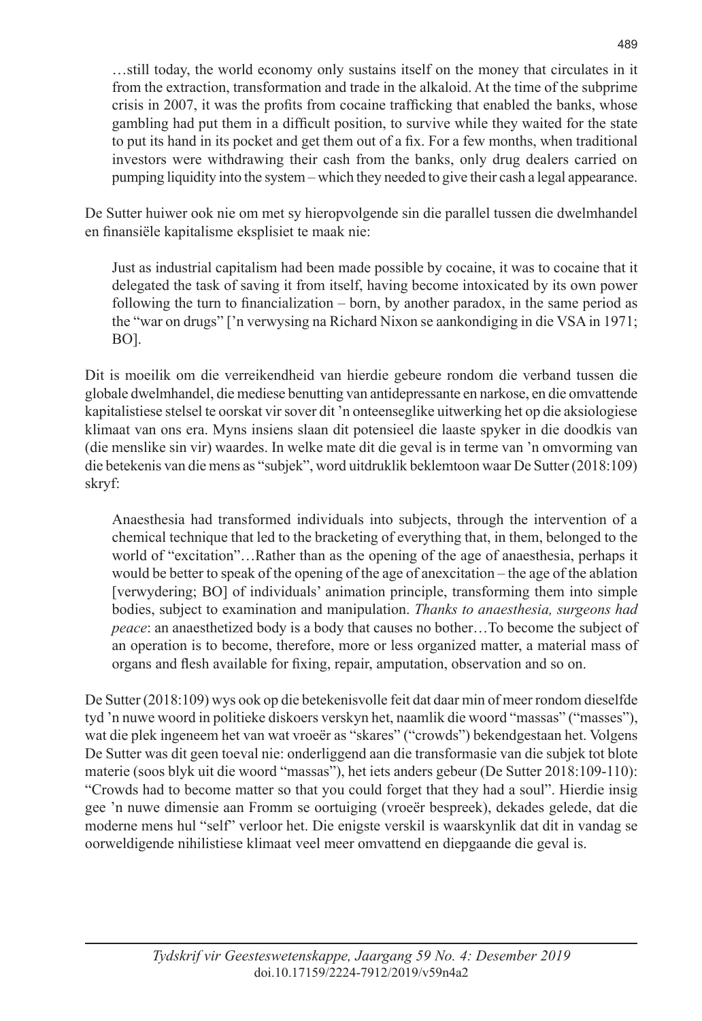…still today, the world economy only sustains itself on the money that circulates in it from the extraction, transformation and trade in the alkaloid. At the time of the subprime crisis in 2007, it was the profits from cocaine trafficking that enabled the banks, whose gambling had put them in a difficult position, to survive while they waited for the state to put its hand in its pocket and get them out of a fix. For a few months, when traditional investors were withdrawing their cash from the banks, only drug dealers carried on pumping liquidity into the system – which they needed to give their cash a legal appearance.

De Sutter huiwer ook nie om met sy hieropvolgende sin die parallel tussen die dwelmhandel en finansiële kapitalisme eksplisiet te maak nie:

Just as industrial capitalism had been made possible by cocaine, it was to cocaine that it delegated the task of saving it from itself, having become intoxicated by its own power following the turn to financialization – born, by another paradox, in the same period as the "war on drugs" ['n verwysing na Richard Nixon se aankondiging in die VSA in 1971; BO].

Dit is moeilik om die verreikendheid van hierdie gebeure rondom die verband tussen die globale dwelmhandel, die mediese benutting van antidepressante en narkose, en die omvattende kapitalistiese stelsel te oorskat vir sover dit 'n onteenseglike uitwerking het op die aksiologiese klimaat van ons era. Myns insiens slaan dit potensieel die laaste spyker in die doodkis van (die menslike sin vir) waardes. In welke mate dit die geval is in terme van 'n omvorming van die betekenis van die mens as "subjek", word uitdruklik beklemtoon waar De Sutter (2018:109) skryf:

Anaesthesia had transformed individuals into subjects, through the intervention of a chemical technique that led to the bracketing of everything that, in them, belonged to the world of "excitation"…Rather than as the opening of the age of anaesthesia, perhaps it would be better to speak of the opening of the age of anexcitation – the age of the ablation [verwydering; BO] of individuals' animation principle, transforming them into simple bodies, subject to examination and manipulation. *Thanks to anaesthesia, surgeons had peace*: an anaesthetized body is a body that causes no bother…To become the subject of an operation is to become, therefore, more or less organized matter, a material mass of organs and flesh available for fixing, repair, amputation, observation and so on.

De Sutter (2018:109) wys ook op die betekenisvolle feit dat daar min of meer rondom dieselfde tyd 'n nuwe woord in politieke diskoers verskyn het, naamlik die woord "massas" ("masses"), wat die plek ingeneem het van wat vroeër as "skares" ("crowds") bekendgestaan het. Volgens De Sutter was dit geen toeval nie: onderliggend aan die transformasie van die subjek tot blote materie (soos blyk uit die woord "massas"), het iets anders gebeur (De Sutter 2018:109-110): "Crowds had to become matter so that you could forget that they had a soul". Hierdie insig gee 'n nuwe dimensie aan Fromm se oortuiging (vroeër bespreek), dekades gelede, dat die moderne mens hul "self" verloor het. Die enigste verskil is waarskynlik dat dit in vandag se oorweldigende nihilistiese klimaat veel meer omvattend en diepgaande die geval is.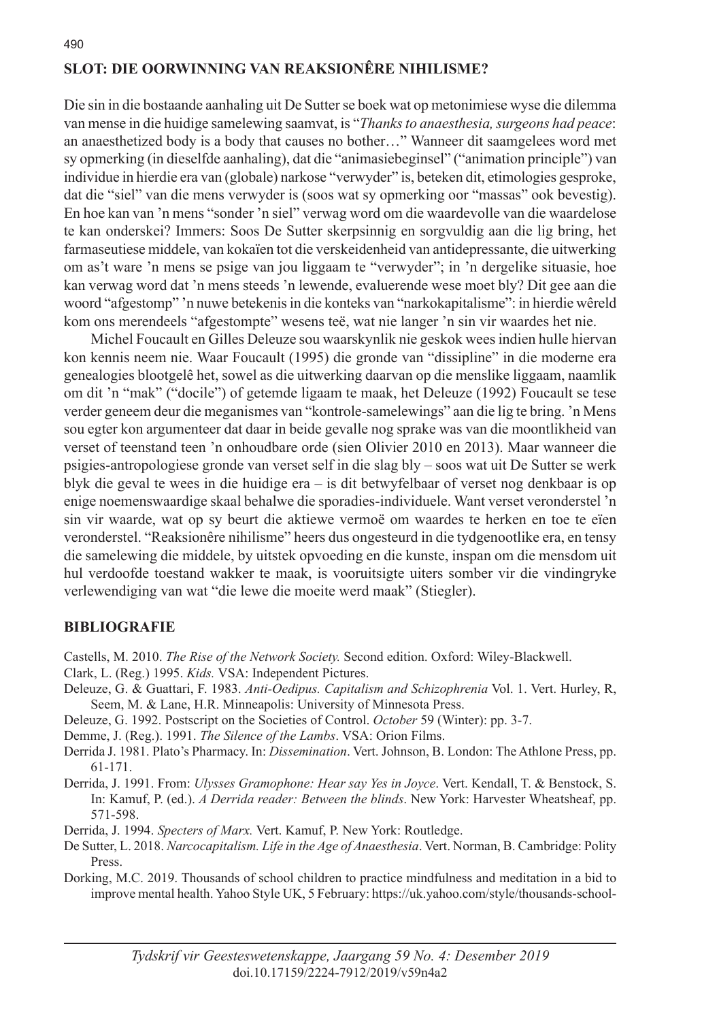# **SLOT: DIE OORWINNING VAN REAKSIONÊRE NIHILISME?**

Die sin in die bostaande aanhaling uit De Sutter se boek wat op metonimiese wyse die dilemma van mense in die huidige samelewing saamvat, is "*Thanks to anaesthesia, surgeons had peace*: an anaesthetized body is a body that causes no bother…" Wanneer dit saamgelees word met sy opmerking (in dieselfde aanhaling), dat die "animasiebeginsel" ("animation principle") van individue in hierdie era van (globale) narkose "verwyder" is, beteken dit, etimologies gesproke, dat die "siel" van die mens verwyder is (soos wat sy opmerking oor "massas" ook bevestig). En hoe kan van 'n mens "sonder 'n siel" verwag word om die waardevolle van die waardelose te kan onderskei? Immers: Soos De Sutter skerpsinnig en sorgvuldig aan die lig bring, het farmaseutiese middele, van kokaïen tot die verskeidenheid van antidepressante, die uitwerking om as't ware 'n mens se psige van jou liggaam te "verwyder"; in 'n dergelike situasie, hoe kan verwag word dat 'n mens steeds 'n lewende, evaluerende wese moet bly? Dit gee aan die woord "afgestomp" 'n nuwe betekenis in die konteks van "narkokapitalisme": in hierdie wêreld kom ons merendeels "afgestompte" wesens teë, wat nie langer 'n sin vir waardes het nie.

Michel Foucault en Gilles Deleuze sou waarskynlik nie geskok wees indien hulle hiervan kon kennis neem nie. Waar Foucault (1995) die gronde van "dissipline" in die moderne era genealogies blootgelê het, sowel as die uitwerking daarvan op die menslike liggaam, naamlik om dit 'n "mak" ("docile") of getemde ligaam te maak, het Deleuze (1992) Foucault se tese verder geneem deur die meganismes van "kontrole-samelewings" aan die lig te bring. 'n Mens sou egter kon argumenteer dat daar in beide gevalle nog sprake was van die moontlikheid van verset of teenstand teen 'n onhoudbare orde (sien Olivier 2010 en 2013). Maar wanneer die psigies-antropologiese gronde van verset self in die slag bly – soos wat uit De Sutter se werk blyk die geval te wees in die huidige era – is dit betwyfelbaar of verset nog denkbaar is op enige noemenswaardige skaal behalwe die sporadies-individuele. Want verset veronderstel 'n sin vir waarde, wat op sy beurt die aktiewe vermoë om waardes te herken en toe te eïen veronderstel. "Reaksionêre nihilisme" heers dus ongesteurd in die tydgenootlike era, en tensy die samelewing die middele, by uitstek opvoeding en die kunste, inspan om die mensdom uit hul verdoofde toestand wakker te maak, is vooruitsigte uiters somber vir die vindingryke verlewendiging van wat "die lewe die moeite werd maak" (Stiegler).

#### **BIBLIOGRAFIE**

- Castells, M. 2010. *The Rise of the Network Society.* Second edition. Oxford: Wiley-Blackwell.
- Clark, L. (Reg.) 1995. *Kids.* VSA: Independent Pictures.
- Deleuze, G. & Guattari, F. 1983. *Anti-Oedipus. Capitalism and Schizophrenia* Vol. 1. Vert. Hurley, R, Seem, M. & Lane, H.R. Minneapolis: University of Minnesota Press.
- Deleuze, G. 1992. Postscript on the Societies of Control. *October* 59 (Winter): pp. 3-7.
- Demme, J. (Reg.). 1991. *The Silence of the Lambs*. VSA: Orion Films.
- Derrida J. 1981. Plato's Pharmacy. In: *Dissemination*. Vert. Johnson, B. London: The Athlone Press, pp. 61-171.
- Derrida, J. 1991. From: *Ulysses Gramophone: Hear say Yes in Joyce*. Vert. Kendall, T. & Benstock, S. In: Kamuf, P. (ed.). *A Derrida reader: Between the blinds*. New York: Harvester Wheatsheaf, pp. 571-598.
- Derrida, J. 1994. *Specters of Marx.* Vert. Kamuf, P. New York: Routledge.
- De Sutter, L. 2018. *Narcocapitalism. Life in the Age of Anaesthesia*. Vert. Norman, B. Cambridge: Polity Press.
- Dorking, M.C. 2019. Thousands of school children to practice mindfulness and meditation in a bid to improve mental health. Yahoo Style UK, 5 February: https://uk.yahoo.com/style/thousands-school-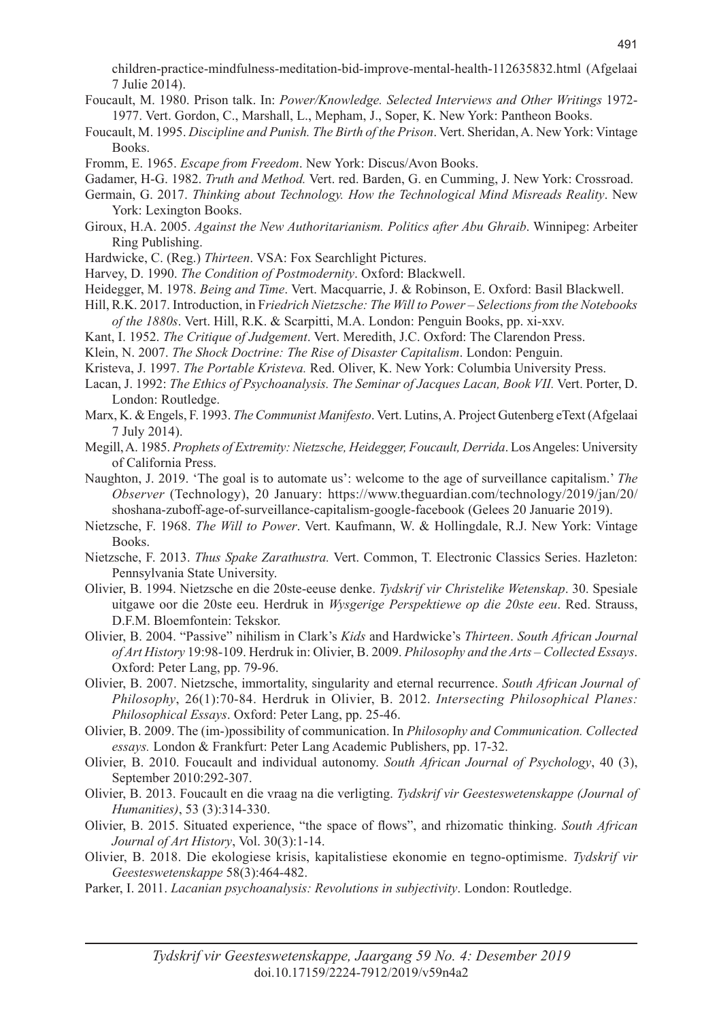children-practice-mindfulness-meditation-bid-improve-mental-health-112635832.html (Afgelaai 7 Julie 2014).

- Foucault, M. 1980. Prison talk. In: *Power/Knowledge. Selected Interviews and Other Writings* 1972- 1977. Vert. Gordon, C., Marshall, L., Mepham, J., Soper, K. New York: Pantheon Books.
- Foucault, M. 1995. *Discipline and Punish. The Birth of the Prison*. Vert. Sheridan, A. New York: Vintage Books.
- Fromm, E. 1965. *Escape from Freedom*. New York: Discus/Avon Books.
- Gadamer, H-G. 1982. *Truth and Method.* Vert. red. Barden, G. en Cumming, J. New York: Crossroad.
- Germain, G. 2017. *Thinking about Technology. How the Technological Mind Misreads Reality*. New York: Lexington Books.
- Giroux, H.A. 2005. *Against the New Authoritarianism. Politics after Abu Ghraib*. Winnipeg: Arbeiter Ring Publishing.
- Hardwicke, C. (Reg.) *Thirteen*. VSA: Fox Searchlight Pictures.
- Harvey, D. 1990. *The Condition of Postmodernity*. Oxford: Blackwell.
- Heidegger, M. 1978. *Being and Time*. Vert. Macquarrie, J. & Robinson, E. Oxford: Basil Blackwell.
- Hill, R.K. 2017. Introduction, in F*riedrich Nietzsche: The Will to Power Selections from the Notebooks of the 1880s*. Vert. Hill, R.K. & Scarpitti, M.A. London: Penguin Books, pp. xi-xxv.
- Kant, I. 1952. *The Critique of Judgement*. Vert. Meredith, J.C. Oxford: The Clarendon Press.
- Klein, N. 2007. *The Shock Doctrine: The Rise of Disaster Capitalism*. London: Penguin.
- Kristeva, J. 1997. *The Portable Kristeva.* Red. Oliver, K. New York: Columbia University Press.
- Lacan, J. 1992: *The Ethics of Psychoanalysis. The Seminar of Jacques Lacan, Book VII.* Vert. Porter, D. London: Routledge.
- Marx, K. & Engels, F. 1993. *The Communist Manifesto*. Vert. Lutins, A. Project Gutenberg eText (Afgelaai 7 July 2014).
- Megill, A. 1985. *Prophets of Extremity: Nietzsche, Heidegger, Foucault, Derrida*. Los Angeles: University of California Press.
- Naughton, J. 2019. 'The goal is to automate us': welcome to the age of surveillance capitalism.' *The Observer* (Technology), 20 January: https://www.theguardian.com/technology/2019/jan/20/ shoshana-zuboff-age-of-surveillance-capitalism-google-facebook (Gelees 20 Januarie 2019).
- Nietzsche, F. 1968. *The Will to Power*. Vert. Kaufmann, W. & Hollingdale, R.J. New York: Vintage Books.
- Nietzsche, F. 2013. *Thus Spake Zarathustra.* Vert. Common, T. Electronic Classics Series. Hazleton: Pennsylvania State University.
- Olivier, B. 1994. Nietzsche en die 20ste-eeuse denke. *Tydskrif vir Christelike Wetenskap*. 30. Spesiale uitgawe oor die 20ste eeu. Herdruk in *Wysgerige Perspektiewe op die 20ste eeu*. Red. Strauss, D.F.M. Bloemfontein: Tekskor.
- Olivier, B. 2004. "Passive" nihilism in Clark's *Kids* and Hardwicke's *Thirteen*. *South African Journal of Art History* 19:98-109. Herdruk in: Olivier, B. 2009. *Philosophy and the Arts – Collected Essays*. Oxford: Peter Lang, pp. 79-96.
- Olivier, B. 2007. Nietzsche, immortality, singularity and eternal recurrence. *South African Journal of Philosophy*, 26(1):70-84. Herdruk in Olivier, B. 2012. *Intersecting Philosophical Planes: Philosophical Essays*. Oxford: Peter Lang, pp. 25-46.
- Olivier, B. 2009. The (im-)possibility of communication. In *Philosophy and Communication. Collected essays.* London & Frankfurt: Peter Lang Academic Publishers, pp. 17-32.
- Olivier, B. 2010. Foucault and individual autonomy. *South African Journal of Psychology*, 40 (3), September 2010:292-307.
- Olivier, B. 2013. Foucault en die vraag na die verligting. *Tydskrif vir Geesteswetenskappe (Journal of Humanities)*, 53 (3):314-330.
- Olivier, B. 2015. Situated experience, "the space of flows", and rhizomatic thinking. *South African Journal of Art History*, Vol. 30(3):1-14.
- Olivier, B. 2018. Die ekologiese krisis, kapitalistiese ekonomie en tegno-optimisme. *Tydskrif vir Geesteswetenskappe* 58(3):464-482.
- Parker, I. 2011. *Lacanian psychoanalysis: Revolutions in subjectivity*. London: Routledge.